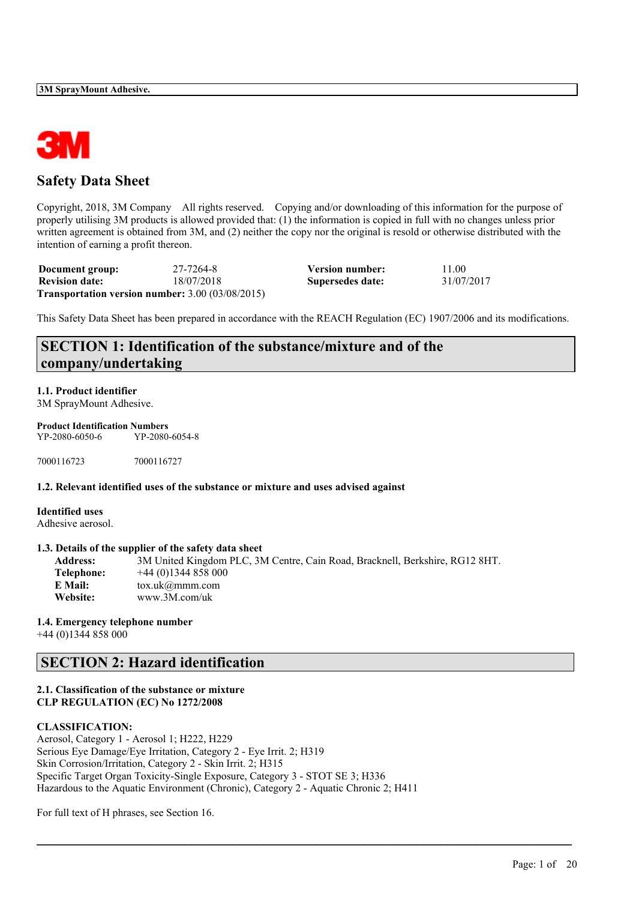

## **Safety Data Sheet**

Copyright, 2018, 3M Company All rights reserved. Copying and/or downloading of this information for the purpose of properly utilising 3M products is allowed provided that: (1) the information is copied in full with no changes unless prior written agreement is obtained from 3M, and (2) neither the copy nor the original is resold or otherwise distributed with the intention of earning a profit thereon.

| Document group:       | 27-7264-8                                                 | <b>Version number:</b> | 11.00      |
|-----------------------|-----------------------------------------------------------|------------------------|------------|
| <b>Revision date:</b> | 18/07/2018                                                | Supersedes date:       | 31/07/2017 |
|                       | <b>Transportation version number:</b> $3.00$ (03/08/2015) |                        |            |

This Safety Data Sheet has been prepared in accordance with the REACH Regulation (EC) 1907/2006 and its modifications.

## **SECTION 1: Identification of the substance/mixture and of the company/undertaking**

### **1.1. Product identifier**

3M SprayMount Adhesive.

## **Product Identification Numbers**

YP-2080-6050-6 YP-2080-6054-8

7000116723 7000116727

### **1.2. Relevant identified uses of the substance or mixture and uses advised against**

**Identified uses** Adhesive aerosol.

### **1.3. Details of the supplier of the safety data sheet**

| <b>Address:</b> | 3M United Kingdom PLC, 3M Centre, Cain Road, Bracknell, Berkshire, RG12 8HT. |
|-----------------|------------------------------------------------------------------------------|
| Telephone:      | $+44(0)1344858000$                                                           |
| E Mail:         | $\text{tox.uk}(\mathcal{Q} \text{mmm.com})$                                  |
| Website:        | www.3M.com/uk                                                                |

 $\mathcal{L}_\mathcal{L} = \mathcal{L}_\mathcal{L} = \mathcal{L}_\mathcal{L} = \mathcal{L}_\mathcal{L} = \mathcal{L}_\mathcal{L} = \mathcal{L}_\mathcal{L} = \mathcal{L}_\mathcal{L} = \mathcal{L}_\mathcal{L} = \mathcal{L}_\mathcal{L} = \mathcal{L}_\mathcal{L} = \mathcal{L}_\mathcal{L} = \mathcal{L}_\mathcal{L} = \mathcal{L}_\mathcal{L} = \mathcal{L}_\mathcal{L} = \mathcal{L}_\mathcal{L} = \mathcal{L}_\mathcal{L} = \mathcal{L}_\mathcal{L}$ 

### **1.4. Emergency telephone number**

+44 (0)1344 858 000

## **SECTION 2: Hazard identification**

### **2.1. Classification of the substance or mixture CLP REGULATION (EC) No 1272/2008**

### **CLASSIFICATION:**

Aerosol, Category 1 - Aerosol 1; H222, H229 Serious Eye Damage/Eye Irritation, Category 2 - Eye Irrit. 2; H319 Skin Corrosion/Irritation, Category 2 - Skin Irrit. 2; H315 Specific Target Organ Toxicity-Single Exposure, Category 3 - STOT SE 3; H336 Hazardous to the Aquatic Environment (Chronic), Category 2 - Aquatic Chronic 2; H411

For full text of H phrases, see Section 16.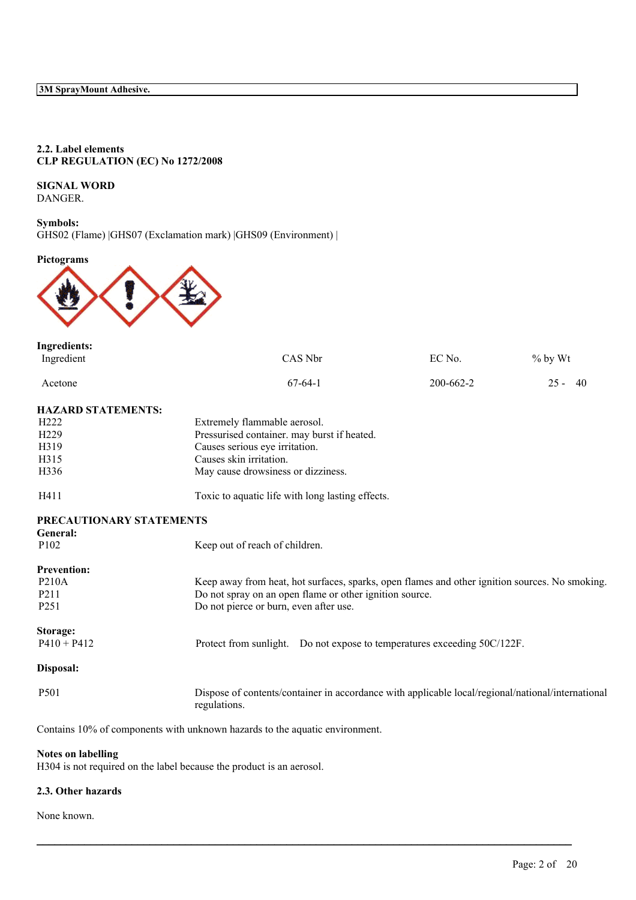### **2.2. Label elements CLP REGULATION (EC) No 1272/2008**

## **SIGNAL WORD**

DANGER.

### **Symbols:** GHS02 (Flame) |GHS07 (Exclamation mark) |GHS09 (Environment) |

### **Pictograms**



| <b>Ingredients:</b>                  |                                                                                                                   |                 |           |  |  |
|--------------------------------------|-------------------------------------------------------------------------------------------------------------------|-----------------|-----------|--|--|
| Ingredient                           | CAS Nbr                                                                                                           | EC No.          | $%$ by Wt |  |  |
| Acetone                              | $67-64-1$                                                                                                         | $200 - 662 - 2$ | $25 - 40$ |  |  |
| <b>HAZARD STATEMENTS:</b>            |                                                                                                                   |                 |           |  |  |
| H <sub>222</sub>                     | Extremely flammable aerosol.                                                                                      |                 |           |  |  |
| H <sub>229</sub>                     | Pressurised container. may burst if heated.                                                                       |                 |           |  |  |
| H319                                 | Causes serious eye irritation.                                                                                    |                 |           |  |  |
| H315                                 | Causes skin irritation.                                                                                           |                 |           |  |  |
| H336                                 | May cause drowsiness or dizziness.                                                                                |                 |           |  |  |
| H411                                 | Toxic to aquatic life with long lasting effects.                                                                  |                 |           |  |  |
| PRECAUTIONARY STATEMENTS<br>General: |                                                                                                                   |                 |           |  |  |
| P <sub>102</sub>                     | Keep out of reach of children.                                                                                    |                 |           |  |  |
| <b>Prevention:</b>                   |                                                                                                                   |                 |           |  |  |
| P210A                                | Keep away from heat, hot surfaces, sparks, open flames and other ignition sources. No smoking.                    |                 |           |  |  |
| P <sub>211</sub>                     | Do not spray on an open flame or other ignition source.                                                           |                 |           |  |  |
| P <sub>251</sub>                     | Do not pierce or burn, even after use.                                                                            |                 |           |  |  |
| Storage:                             |                                                                                                                   |                 |           |  |  |
| $P410 + P412$                        | Protect from sunlight. Do not expose to temperatures exceeding 50C/122F.                                          |                 |           |  |  |
| Disposal:                            |                                                                                                                   |                 |           |  |  |
| P501                                 | Dispose of contents/container in accordance with applicable local/regional/national/international<br>regulations. |                 |           |  |  |
|                                      | Contains 10% of components with unknown hazards to the aquatic environment.                                       |                 |           |  |  |

 $\mathcal{L}_\mathcal{L} = \mathcal{L}_\mathcal{L} = \mathcal{L}_\mathcal{L} = \mathcal{L}_\mathcal{L} = \mathcal{L}_\mathcal{L} = \mathcal{L}_\mathcal{L} = \mathcal{L}_\mathcal{L} = \mathcal{L}_\mathcal{L} = \mathcal{L}_\mathcal{L} = \mathcal{L}_\mathcal{L} = \mathcal{L}_\mathcal{L} = \mathcal{L}_\mathcal{L} = \mathcal{L}_\mathcal{L} = \mathcal{L}_\mathcal{L} = \mathcal{L}_\mathcal{L} = \mathcal{L}_\mathcal{L} = \mathcal{L}_\mathcal{L}$ 

### **Notes on labelling**

H304 is not required on the label because the product is an aerosol.

### **2.3. Other hazards**

None known.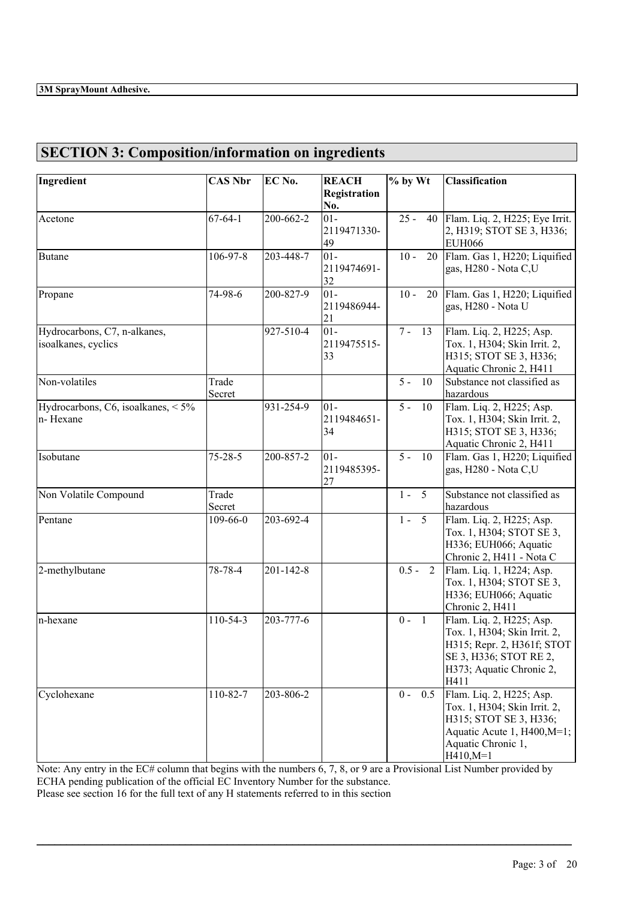# **SECTION 3: Composition/information on ingredients**

| Ingredient                                           | <b>CAS Nbr</b>        | EC No.    | <b>REACH</b>                | % by Wt                  | <b>Classification</b>                                                                                                                                  |
|------------------------------------------------------|-----------------------|-----------|-----------------------------|--------------------------|--------------------------------------------------------------------------------------------------------------------------------------------------------|
|                                                      |                       |           | Registration<br>No.         |                          |                                                                                                                                                        |
| Acetone                                              | $\overline{67}$ -64-1 | 200-662-2 | $01 -$<br>2119471330-<br>49 | $25 -$                   | 40   Flam. Liq. 2, H225; Eye Irrit.<br>2, H319; STOT SE 3, H336;<br><b>EUH066</b>                                                                      |
| <b>Butane</b>                                        | 106-97-8              | 203-448-7 | $01-$<br>2119474691-<br>32  | $10 -$<br>20             | Flam. Gas 1, H220; Liquified<br>gas, H280 - Nota C,U                                                                                                   |
| Propane                                              | 74-98-6               | 200-827-9 | $01-$<br>2119486944-<br>21  | $10 -$                   | 20 Flam. Gas 1, H220; Liquified<br>gas, H280 - Nota U                                                                                                  |
| Hydrocarbons, C7, n-alkanes,<br>isoalkanes, cyclics  |                       | 927-510-4 | $01-$<br>2119475515-<br>33  | $7 - 13$                 | Flam. Liq. 2, H225; Asp.<br>Tox. 1, H304; Skin Irrit. 2,<br>H315; STOT SE 3, H336;<br>Aquatic Chronic 2, H411                                          |
| Non-volatiles                                        | Trade<br>Secret       |           |                             | $5 -$<br>10              | Substance not classified as<br>hazardous                                                                                                               |
| Hydrocarbons, C6, isoalkanes, $\leq 5\%$<br>n-Hexane |                       | 931-254-9 | $01 -$<br>2119484651-<br>34 | $5 -$<br>$10\,$          | Flam. Liq. 2, H225; Asp.<br>Tox. 1, H304; Skin Irrit. 2,<br>H315; STOT SE 3, H336;<br>Aquatic Chronic 2, H411                                          |
| Isobutane                                            | $75 - 28 - 5$         | 200-857-2 | $01-$<br>2119485395-<br>27  | $5 -$<br>10              | Flam. Gas 1, H220; Liquified<br>gas, H280 - Nota C,U                                                                                                   |
| Non Volatile Compound                                | Trade<br>Secret       |           |                             | $1 -$<br>$5\overline{5}$ | Substance not classified as<br>hazardous                                                                                                               |
| Pentane                                              | 109-66-0              | 203-692-4 |                             | $1 - 5$                  | Flam. Liq. 2, H225; Asp.<br>Tox. 1, H304; STOT SE 3,<br>H336; EUH066; Aquatic<br>Chronic 2, H411 - Nota C                                              |
| 2-methylbutane                                       | 78-78-4               | 201-142-8 |                             | $0.5 - 2$                | Flam. Liq. 1, H224; Asp.<br>Tox. 1, H304; STOT SE 3,<br>H336; EUH066; Aquatic<br>Chronic 2, H411                                                       |
| n-hexane                                             | 110-54-3              | 203-777-6 |                             | $0 -$<br>$\overline{1}$  | Flam. Liq. 2, H225; Asp.<br>Tox. 1, H304; Skin Irrit. 2,<br>H315; Repr. 2, H361f; STOT<br>SE 3, H336; STOT RE 2,<br>H373; Aquatic Chronic 2,<br>H411   |
| Cyclohexane                                          | 110-82-7              | 203-806-2 |                             | 0.5<br>$0 -$             | Flam. Liq. 2, H225; Asp.<br>Tox. 1, H304; Skin Irrit. 2,<br>H315; STOT SE 3, H336;<br>Aquatic Acute 1, H400, M=1;<br>Aquatic Chronic 1,<br>$H410, M=1$ |

Note: Any entry in the EC# column that begins with the numbers 6, 7, 8, or 9 are a Provisional List Number provided by ECHA pending publication of the official EC Inventory Number for the substance. Please see section 16 for the full text of any H statements referred to in this section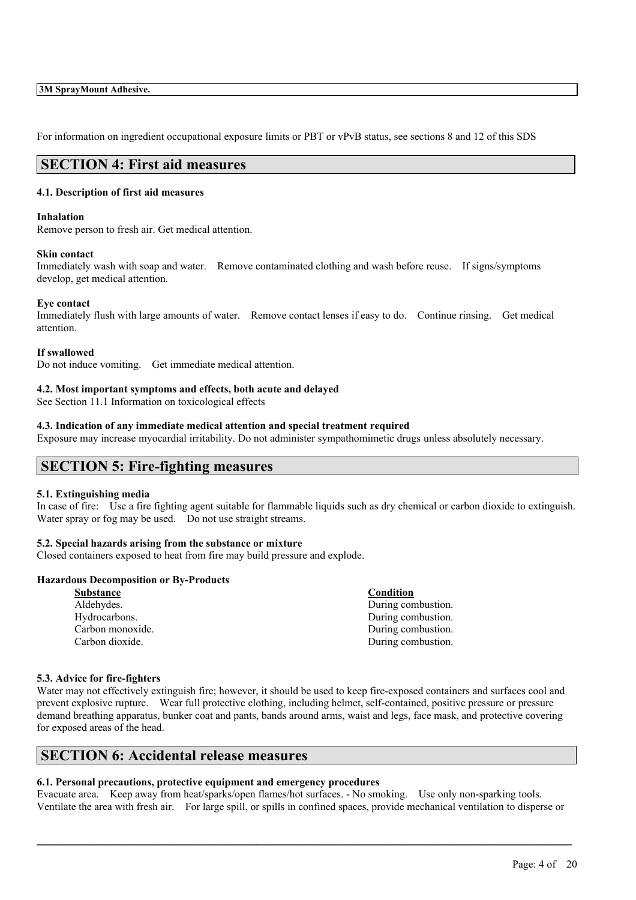For information on ingredient occupational exposure limits or PBT or vPvB status, see sections 8 and 12 of this SDS

## **SECTION 4: First aid measures**

### **4.1. Description of first aid measures**

#### **Inhalation**

Remove person to fresh air. Get medical attention.

### **Skin contact**

Immediately wash with soap and water. Remove contaminated clothing and wash before reuse. If signs/symptoms develop, get medical attention.

### **Eye contact**

Immediately flush with large amounts of water. Remove contact lenses if easy to do. Continue rinsing. Get medical attention.

### **If swallowed**

Do not induce vomiting. Get immediate medical attention.

### **4.2. Most important symptoms and effects, both acute and delayed**

See Section 11.1 Information on toxicological effects

### **4.3. Indication of any immediate medical attention and special treatment required**

Exposure may increase myocardial irritability. Do not administer sympathomimetic drugs unless absolutely necessary.

## **SECTION 5: Fire-fighting measures**

### **5.1. Extinguishing media**

In case of fire: Use a fire fighting agent suitable for flammable liquids such as dry chemical or carbon dioxide to extinguish. Water spray or fog may be used. Do not use straight streams.

### **5.2. Special hazards arising from the substance or mixture**

Closed containers exposed to heat from fire may build pressure and explode.

### **Hazardous Decomposition or By-Products**

| <b>Substance</b> | <b>Condition</b>   |
|------------------|--------------------|
| Aldehydes.       | During combustion. |
| Hydrocarbons.    | During combustion. |
| Carbon monoxide. | During combustion. |
| Carbon dioxide.  | During combustion. |
|                  |                    |

### **5.3. Advice for fire-fighters**

Water may not effectively extinguish fire; however, it should be used to keep fire-exposed containers and surfaces cool and prevent explosive rupture. Wear full protective clothing, including helmet, self-contained, positive pressure or pressure demand breathing apparatus, bunker coat and pants, bands around arms, waist and legs, face mask, and protective covering for exposed areas of the head.

## **SECTION 6: Accidental release measures**

### **6.1. Personal precautions, protective equipment and emergency procedures**

Evacuate area. Keep away from heat/sparks/open flames/hot surfaces. - No smoking. Use only non-sparking tools. Ventilate the area with fresh air. For large spill, or spills in confined spaces, provide mechanical ventilation to disperse or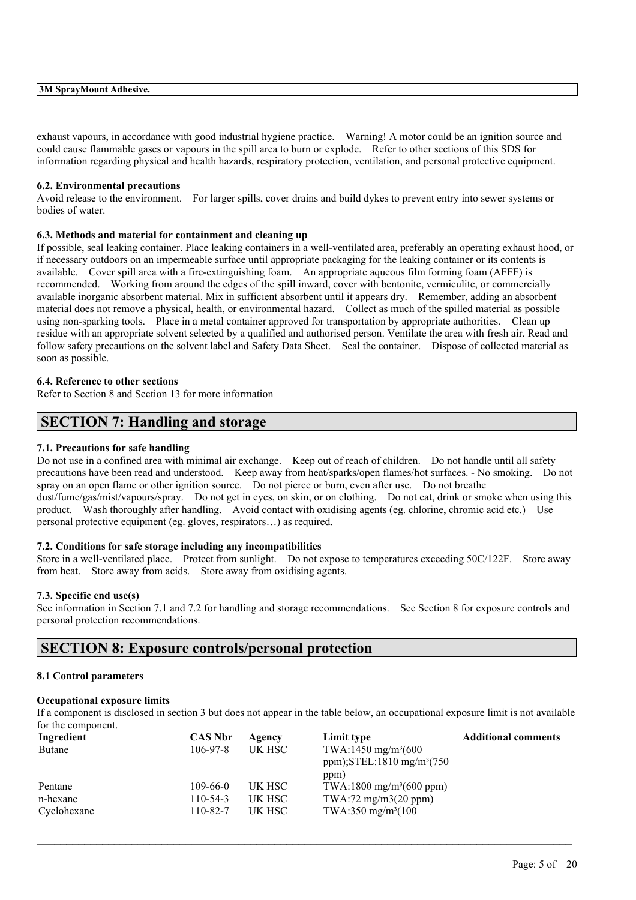exhaust vapours, in accordance with good industrial hygiene practice. Warning! A motor could be an ignition source and could cause flammable gases or vapours in the spill area to burn or explode. Refer to other sections of this SDS for information regarding physical and health hazards, respiratory protection, ventilation, and personal protective equipment.

### **6.2. Environmental precautions**

Avoid release to the environment. For larger spills, cover drains and build dykes to prevent entry into sewer systems or bodies of water.

### **6.3. Methods and material for containment and cleaning up**

If possible, seal leaking container. Place leaking containers in a well-ventilated area, preferably an operating exhaust hood, or if necessary outdoors on an impermeable surface until appropriate packaging for the leaking container or its contents is available. Cover spill area with a fire-extinguishing foam. An appropriate aqueous film forming foam (AFFF) is recommended. Working from around the edges of the spill inward, cover with bentonite, vermiculite, or commercially available inorganic absorbent material. Mix in sufficient absorbent until it appears dry. Remember, adding an absorbent material does not remove a physical, health, or environmental hazard. Collect as much of the spilled material as possible using non-sparking tools. Place in a metal container approved for transportation by appropriate authorities. Clean up residue with an appropriate solvent selected by a qualified and authorised person. Ventilate the area with fresh air. Read and follow safety precautions on the solvent label and Safety Data Sheet. Seal the container. Dispose of collected material as soon as possible.

### **6.4. Reference to other sections**

Refer to Section 8 and Section 13 for more information

## **SECTION 7: Handling and storage**

#### **7.1. Precautions for safe handling**

Do not use in a confined area with minimal air exchange. Keep out of reach of children. Do not handle until all safety precautions have been read and understood. Keep away from heat/sparks/open flames/hot surfaces. - No smoking. Do not spray on an open flame or other ignition source. Do not pierce or burn, even after use. Do not breathe dust/fume/gas/mist/vapours/spray. Do not get in eyes, on skin, or on clothing. Do not eat, drink or smoke when using this product. Wash thoroughly after handling. Avoid contact with oxidising agents (eg. chlorine, chromic acid etc.) Use personal protective equipment (eg. gloves, respirators…) as required.

### **7.2. Conditions for safe storage including any incompatibilities**

Store in a well-ventilated place. Protect from sunlight. Do not expose to temperatures exceeding 50C/122F. Store away from heat. Store away from acids. Store away from oxidising agents.

#### **7.3. Specific end use(s)**

See information in Section 7.1 and 7.2 for handling and storage recommendations. See Section 8 for exposure controls and personal protection recommendations.

## **SECTION 8: Exposure controls/personal protection**

#### **8.1 Control parameters**

### **Occupational exposure limits**

If a component is disclosed in section 3 but does not appear in the table below, an occupational exposure limit is not available for the component.

| Ingredient    | <b>CAS Nbr</b> | Agency | Limit type                                                                           | <b>Additional comments</b> |
|---------------|----------------|--------|--------------------------------------------------------------------------------------|----------------------------|
| <b>Butane</b> | $106 - 97 - 8$ | UK HSC | TWA:1450 mg/m <sup>3</sup> (600<br>ppm); $STEL:1810$ mg/m <sup>3</sup> (750)<br>ppm) |                            |
| Pentane       | $109-66-0$     | UK HSC | TWA:1800 mg/m <sup>3</sup> (600 ppm)                                                 |                            |
| n-hexane      | $110-54-3$     | UK HSC | TWA:72 mg/m3(20 ppm)                                                                 |                            |
| Cyclohexane   | 110-82-7       | UK HSC | TWA:350 mg/m <sup>3</sup> (100)                                                      |                            |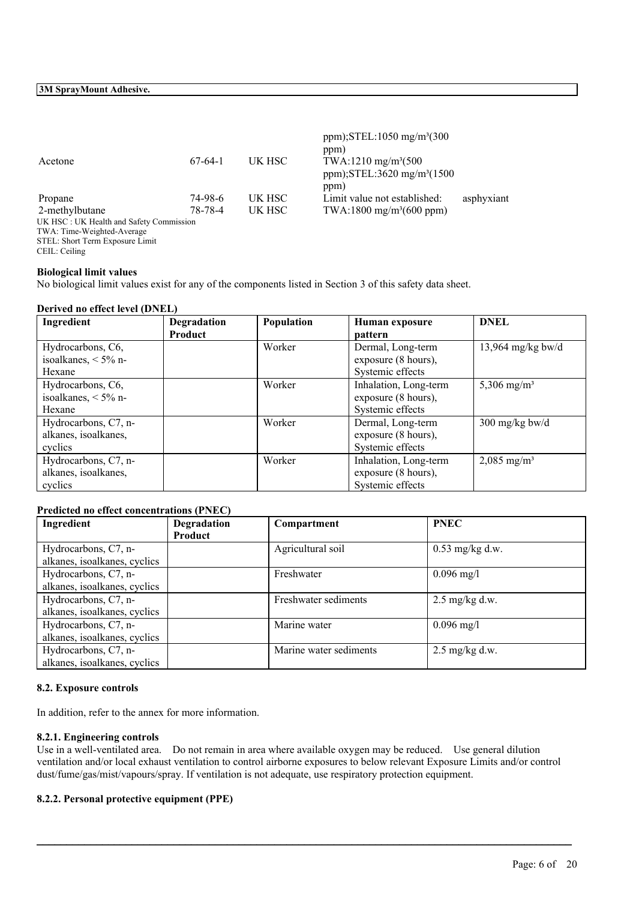| Acetone                                 | $67-64-1$ | UK HSC | ppm); $STEL:1050$ mg/m <sup>3</sup> (300<br>ppm)<br>TWA:1210 mg/m <sup>3</sup> (500<br>ppm);STEL:3620 mg/m <sup>3</sup> (1500<br>ppm) |            |
|-----------------------------------------|-----------|--------|---------------------------------------------------------------------------------------------------------------------------------------|------------|
| Propane                                 | 74-98-6   | UK HSC | Limit value not established:                                                                                                          | asphyxiant |
| 2-methylbutane                          | 78-78-4   | UK HSC | $TWA:1800$ mg/m <sup>3</sup> (600 ppm)                                                                                                |            |
| UK HSC: UK Health and Safety Commission |           |        |                                                                                                                                       |            |
| TWA: Time-Weighted-Average              |           |        |                                                                                                                                       |            |
| $\alpha$                                |           |        |                                                                                                                                       |            |

STEL: Short Term Exposure Limit CEIL: Ceiling

## **Biological limit values**

No biological limit values exist for any of the components listed in Section 3 of this safety data sheet.

### **Derived no effect level (DNEL)**

| Ingredient                                 | Degradation    | Population | Human exposure                           | <b>DNEL</b>             |
|--------------------------------------------|----------------|------------|------------------------------------------|-------------------------|
|                                            | <b>Product</b> |            | pattern                                  |                         |
| Hydrocarbons, C6,<br>isoalkanes, $<$ 5% n- |                | Worker     | Dermal, Long-term<br>exposure (8 hours), | 13,964 mg/kg bw/d       |
| Hexane                                     |                |            | Systemic effects                         |                         |
| Hydrocarbons, C6,                          |                | Worker     | Inhalation, Long-term                    | 5,306 mg/m <sup>3</sup> |
| isoalkanes, $<$ 5% n-                      |                |            | exposure (8 hours),                      |                         |
| Hexane                                     |                |            | Systemic effects                         |                         |
| Hydrocarbons, C7, n-                       |                | Worker     | Dermal, Long-term                        | $300$ mg/kg bw/d        |
| alkanes, isoalkanes,                       |                |            | exposure (8 hours),                      |                         |
| cyclics                                    |                |            | Systemic effects                         |                         |
| Hydrocarbons, C7, n-                       |                | Worker     | Inhalation, Long-term                    | 2,085 mg/m <sup>3</sup> |
| alkanes, isoalkanes,                       |                |            | exposure (8 hours),                      |                         |
| cyclics                                    |                |            | Systemic effects                         |                         |

### **Predicted no effect concentrations (PNEC)**

| Ingredient                   | <b>Degradation</b> | Compartment            | <b>PNEC</b>              |
|------------------------------|--------------------|------------------------|--------------------------|
|                              | Product            |                        |                          |
| Hydrocarbons, C7, n-         |                    | Agricultural soil      | $0.53$ mg/kg d.w.        |
| alkanes, isoalkanes, cyclics |                    |                        |                          |
| Hydrocarbons, C7, n-         |                    | Freshwater             | $0.096$ mg/l             |
| alkanes, isoalkanes, cyclics |                    |                        |                          |
| Hydrocarbons, C7, n-         |                    | Freshwater sediments   | $2.5$ mg/kg d.w.         |
| alkanes, isoalkanes, cyclics |                    |                        |                          |
| Hydrocarbons, C7, n-         |                    | Marine water           | $0.096$ mg/l             |
| alkanes, isoalkanes, cyclics |                    |                        |                          |
| Hydrocarbons, C7, n-         |                    | Marine water sediments | $2.5 \text{ mg/kg}$ d.w. |
| alkanes, isoalkanes, cyclics |                    |                        |                          |

### **8.2. Exposure controls**

In addition, refer to the annex for more information.

### **8.2.1. Engineering controls**

Use in a well-ventilated area. Do not remain in area where available oxygen may be reduced. Use general dilution ventilation and/or local exhaust ventilation to control airborne exposures to below relevant Exposure Limits and/or control dust/fume/gas/mist/vapours/spray. If ventilation is not adequate, use respiratory protection equipment.

 $\mathcal{L}_\mathcal{L} = \mathcal{L}_\mathcal{L} = \mathcal{L}_\mathcal{L} = \mathcal{L}_\mathcal{L} = \mathcal{L}_\mathcal{L} = \mathcal{L}_\mathcal{L} = \mathcal{L}_\mathcal{L} = \mathcal{L}_\mathcal{L} = \mathcal{L}_\mathcal{L} = \mathcal{L}_\mathcal{L} = \mathcal{L}_\mathcal{L} = \mathcal{L}_\mathcal{L} = \mathcal{L}_\mathcal{L} = \mathcal{L}_\mathcal{L} = \mathcal{L}_\mathcal{L} = \mathcal{L}_\mathcal{L} = \mathcal{L}_\mathcal{L}$ 

### **8.2.2. Personal protective equipment (PPE)**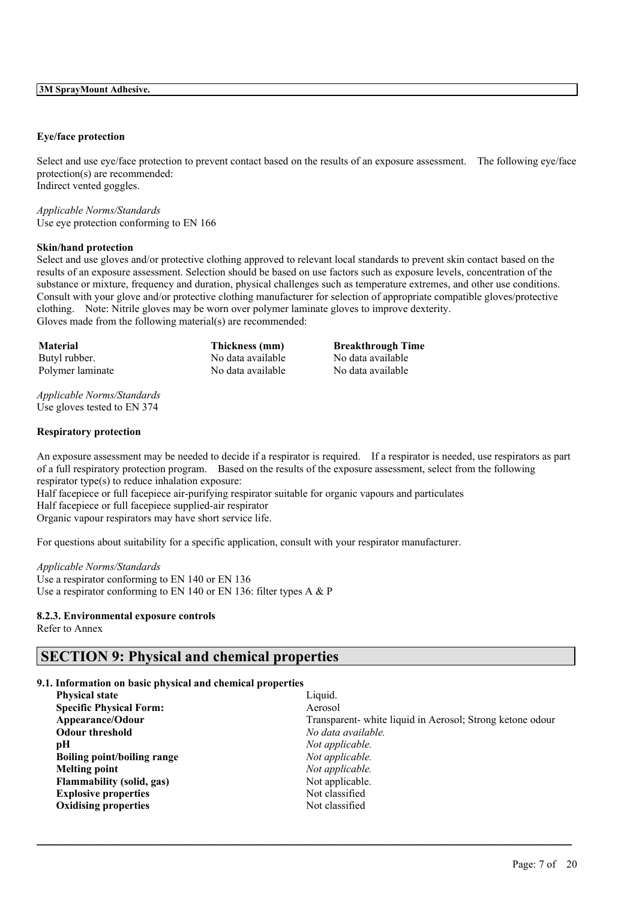### **Eye/face protection**

Select and use eye/face protection to prevent contact based on the results of an exposure assessment. The following eye/face protection(s) are recommended: Indirect vented goggles.

*Applicable Norms/Standards* Use eye protection conforming to EN 166

### **Skin/hand protection**

Select and use gloves and/or protective clothing approved to relevant local standards to prevent skin contact based on the results of an exposure assessment. Selection should be based on use factors such as exposure levels, concentration of the substance or mixture, frequency and duration, physical challenges such as temperature extremes, and other use conditions. Consult with your glove and/or protective clothing manufacturer for selection of appropriate compatible gloves/protective clothing. Note: Nitrile gloves may be worn over polymer laminate gloves to improve dexterity. Gloves made from the following material(s) are recommended:

Butyl rubber. No data available No data available Polymer laminate No data available No data available No data available

**Material Thickness (mm) Breakthrough Time**

*Applicable Norms/Standards* Use gloves tested to EN 374

#### **Respiratory protection**

An exposure assessment may be needed to decide if a respirator is required. If a respirator is needed, use respirators as part of a full respiratory protection program. Based on the results of the exposure assessment, select from the following respirator type(s) to reduce inhalation exposure:

Half facepiece or full facepiece air-purifying respirator suitable for organic vapours and particulates Half facepiece or full facepiece supplied-air respirator Organic vapour respirators may have short service life.

For questions about suitability for a specific application, consult with your respirator manufacturer.

*Applicable Norms/Standards* Use a respirator conforming to EN 140 or EN 136 Use a respirator conforming to EN 140 or EN 136: filter types A & P

### **8.2.3. Environmental exposure controls**

Refer to Annex

## **SECTION 9: Physical and chemical properties**

### **9.1. Information on basic physical and chemical properties**

| Liquid.                                                  |
|----------------------------------------------------------|
| Aerosol                                                  |
| Transparent-white liquid in Aerosol; Strong ketone odour |
| No data available.                                       |
| Not applicable.                                          |
| Not applicable.                                          |
| Not applicable.                                          |
| Not applicable.                                          |
| Not classified                                           |
| Not classified                                           |
|                                                          |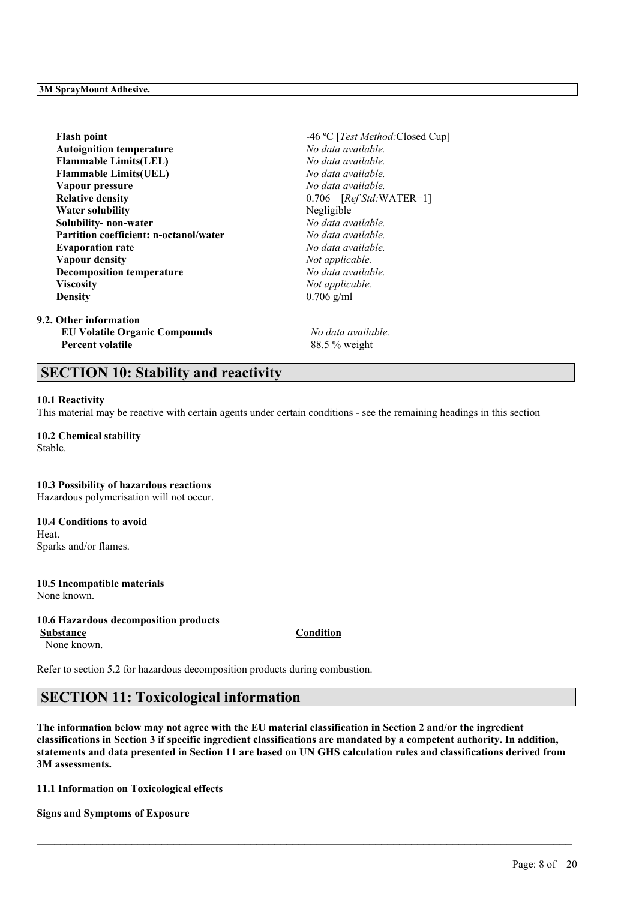| Flash point                            | -46 °C [Test Method: Closed Cup] |
|----------------------------------------|----------------------------------|
| <b>Autoignition temperature</b>        | No data available.               |
| <b>Flammable Limits(LEL)</b>           | No data available.               |
| <b>Flammable Limits(UEL)</b>           | No data available.               |
| Vapour pressure                        | No data available.               |
| <b>Relative density</b>                | $0.706$ [Ref Std: WATER=1]       |
| <b>Water solubility</b>                | Negligible                       |
| Solubility- non-water                  | No data available.               |
| Partition coefficient: n-octanol/water | No data available.               |
| <b>Evaporation rate</b>                | No data available.               |
| Vapour density                         | Not applicable.                  |
| <b>Decomposition temperature</b>       | No data available.               |
| Viscositv                              | Not applicable.                  |
| Densitv                                | $0.706$ g/ml                     |
| Other information                      |                                  |
| <b>EU Volatile Organic Compounds</b>   | No data available.               |

 $9.2. C$ **Percent volatile** 88.5 % weight

## **SECTION 10: Stability and reactivity**

### **10.1 Reactivity**

This material may be reactive with certain agents under certain conditions - see the remaining headings in this section

**10.2 Chemical stability** Stable.

## **10.3 Possibility of hazardous reactions**

Hazardous polymerisation will not occur.

**10.4 Conditions to avoid** Heat. Sparks and/or flames.

**10.5 Incompatible materials** None known.

### **10.6 Hazardous decomposition products**

None known.

Refer to section 5.2 for hazardous decomposition products during combustion.

## **SECTION 11: Toxicological information**

The information below may not agree with the EU material classification in Section 2 and/or the ingredient classifications in Section 3 if specific ingredient classifications are mandated by a competent authority. In addition, statements and data presented in Section 11 are based on UN GHS calculation rules and classifications derived from **3M assessments.**

 $\mathcal{L}_\mathcal{L} = \mathcal{L}_\mathcal{L} = \mathcal{L}_\mathcal{L} = \mathcal{L}_\mathcal{L} = \mathcal{L}_\mathcal{L} = \mathcal{L}_\mathcal{L} = \mathcal{L}_\mathcal{L} = \mathcal{L}_\mathcal{L} = \mathcal{L}_\mathcal{L} = \mathcal{L}_\mathcal{L} = \mathcal{L}_\mathcal{L} = \mathcal{L}_\mathcal{L} = \mathcal{L}_\mathcal{L} = \mathcal{L}_\mathcal{L} = \mathcal{L}_\mathcal{L} = \mathcal{L}_\mathcal{L} = \mathcal{L}_\mathcal{L}$ 

**11.1 Information on Toxicological effects**

**Signs and Symptoms of Exposure**

Page: 8 of 20

**Substance Condition**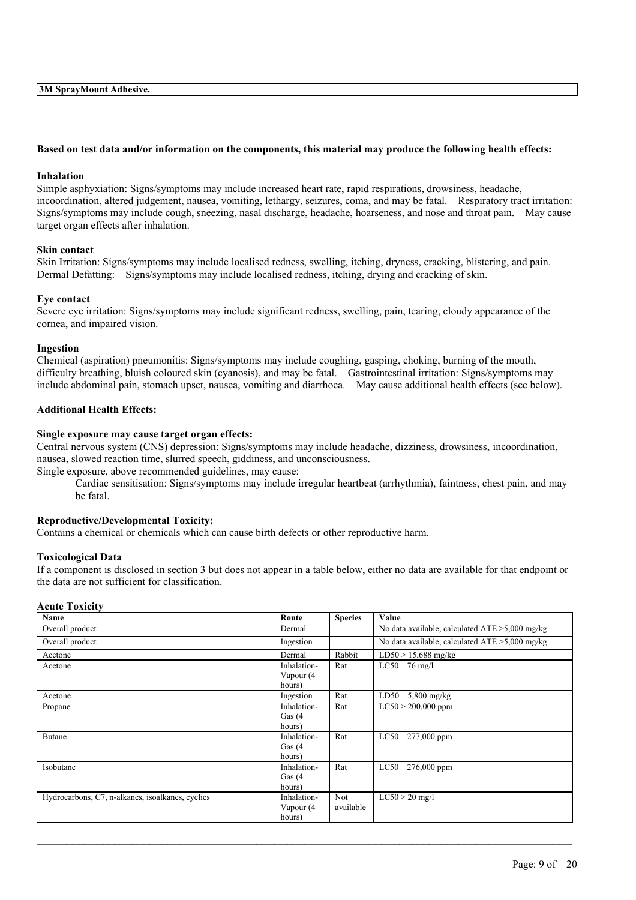### Based on test data and/or information on the components, this material may produce the following health effects:

### **Inhalation**

Simple asphyxiation: Signs/symptoms may include increased heart rate, rapid respirations, drowsiness, headache, incoordination, altered judgement, nausea, vomiting, lethargy, seizures, coma, and may be fatal. Respiratory tract irritation: Signs/symptoms may include cough, sneezing, nasal discharge, headache, hoarseness, and nose and throat pain. May cause target organ effects after inhalation.

### **Skin contact**

Skin Irritation: Signs/symptoms may include localised redness, swelling, itching, dryness, cracking, blistering, and pain. Dermal Defatting: Signs/symptoms may include localised redness, itching, drying and cracking of skin.

### **Eye contact**

Severe eye irritation: Signs/symptoms may include significant redness, swelling, pain, tearing, cloudy appearance of the cornea, and impaired vision.

### **Ingestion**

Chemical (aspiration) pneumonitis: Signs/symptoms may include coughing, gasping, choking, burning of the mouth, difficulty breathing, bluish coloured skin (cyanosis), and may be fatal. Gastrointestinal irritation: Signs/symptoms may include abdominal pain, stomach upset, nausea, vomiting and diarrhoea. May cause additional health effects (see below).

### **Additional Health Effects:**

### **Single exposure may cause target organ effects:**

Central nervous system (CNS) depression: Signs/symptoms may include headache, dizziness, drowsiness, incoordination, nausea, slowed reaction time, slurred speech, giddiness, and unconsciousness.

Single exposure, above recommended guidelines, may cause:

Cardiac sensitisation: Signs/symptoms may include irregular heartbeat (arrhythmia), faintness, chest pain, and may be fatal.

### **Reproductive/Developmental Toxicity:**

Contains a chemical or chemicals which can cause birth defects or other reproductive harm.

### **Toxicological Data**

If a component is disclosed in section 3 but does not appear in a table below, either no data are available for that endpoint or the data are not sufficient for classification.

### **Acute Toxicity**

| Name                                             | Route       | <b>Species</b> | Value                                             |
|--------------------------------------------------|-------------|----------------|---------------------------------------------------|
| Overall product                                  | Dermal      |                | No data available; calculated $ATE > 5,000$ mg/kg |
| Overall product                                  | Ingestion   |                | No data available; calculated $ATE > 5,000$ mg/kg |
| Acetone                                          | Dermal      | Rabbit         | $LD50 > 15,688$ mg/kg                             |
| Acetone                                          | Inhalation- | Rat            | $LC50$ 76 mg/l                                    |
|                                                  | Vapour (4   |                |                                                   |
|                                                  | hours)      |                |                                                   |
| Acetone                                          | Ingestion   | Rat            | LD50<br>$5,800$ mg/kg                             |
| Propane                                          | Inhalation- | Rat            | $LC50 > 200,000$ ppm                              |
|                                                  | Gas $(4)$   |                |                                                   |
|                                                  | hours)      |                |                                                   |
| Butane                                           | Inhalation- | Rat            | LC50<br>277,000 ppm                               |
|                                                  | Gas $(4)$   |                |                                                   |
|                                                  | hours)      |                |                                                   |
| Isobutane                                        | Inhalation- | Rat            | LC50<br>276,000 ppm                               |
|                                                  | Gas $(4)$   |                |                                                   |
|                                                  | hours)      |                |                                                   |
| Hydrocarbons, C7, n-alkanes, isoalkanes, cyclics | Inhalation- | Not            | $LC50 > 20$ mg/l                                  |
|                                                  | Vapour (4   | available      |                                                   |
|                                                  | hours)      |                |                                                   |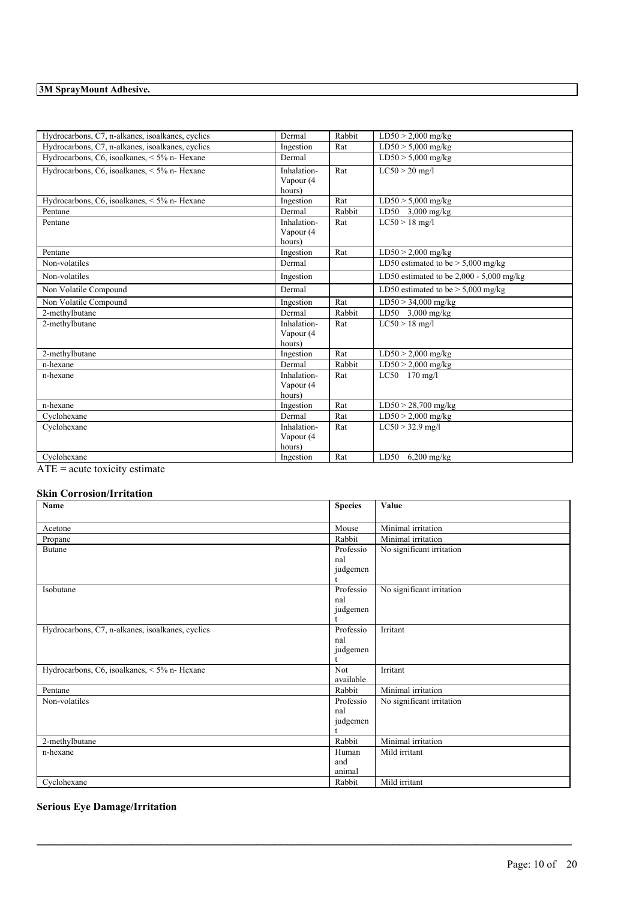| Hydrocarbons, C7, n-alkanes, isoalkanes, cyclics | Dermal      | Rabbit | $LD50 > 2,000$ mg/kg                       |
|--------------------------------------------------|-------------|--------|--------------------------------------------|
| Hydrocarbons, C7, n-alkanes, isoalkanes, cyclics | Ingestion   | Rat    | $LD50 > 5,000$ mg/kg                       |
| Hydrocarbons, C6, isoalkanes, < 5% n- Hexane     | Dermal      |        | $LD50 > 5,000$ mg/kg                       |
| Hydrocarbons, C6, isoalkanes, < 5% n- Hexane     | Inhalation- | Rat    | $LC50 > 20$ mg/l                           |
|                                                  | Vapour (4   |        |                                            |
|                                                  | hours)      |        |                                            |
| Hydrocarbons, C6, isoalkanes, < 5% n- Hexane     | Ingestion   | Rat    | $LD50 > 5,000$ mg/kg                       |
| Pentane                                          | Dermal      | Rabbit | LD50 3,000 mg/kg                           |
| Pentane                                          | Inhalation- | Rat    | $LC50 > 18$ mg/l                           |
|                                                  | Vapour (4   |        |                                            |
|                                                  | hours)      |        |                                            |
| Pentane                                          | Ingestion   | Rat    | $LD50 > 2,000$ mg/kg                       |
| Non-volatiles                                    | Dermal      |        | LD50 estimated to be $> 5,000$ mg/kg       |
| Non-volatiles                                    | Ingestion   |        | LD50 estimated to be $2,000 - 5,000$ mg/kg |
| Non Volatile Compound                            | Dermal      |        | LD50 estimated to be $> 5,000$ mg/kg       |
| Non Volatile Compound                            | Ingestion   | Rat    | $LD50 > 34,000$ mg/kg                      |
| 2-methylbutane                                   | Dermal      | Rabbit | LD50 $3,000 \text{ mg/kg}$                 |
| 2-methylbutane                                   | Inhalation- | Rat    | $LC50 > 18$ mg/l                           |
|                                                  | Vapour (4   |        |                                            |
|                                                  | hours)      |        |                                            |
| 2-methylbutane                                   | Ingestion   | Rat    | $LD50 > 2,000$ mg/kg                       |
| n-hexane                                         | Dermal      | Rabbit | $LD50 > 2,000$ mg/kg                       |
| n-hexane                                         | Inhalation- | Rat    | LC50 170 mg/l                              |
|                                                  | Vapour (4   |        |                                            |
|                                                  | hours)      |        |                                            |
| n-hexane                                         | Ingestion   | Rat    | $LD50 > 28,700$ mg/kg                      |
| Cyclohexane                                      | Dermal      | Rat    | $LD50 > 2,000$ mg/kg                       |
| Cyclohexane                                      | Inhalation- | Rat    | $LC50 > 32.9$ mg/l                         |
|                                                  | Vapour (4   |        |                                            |
|                                                  | hours)      |        |                                            |
| Cyclohexane                                      | Ingestion   | Rat    | LD50<br>$6,200$ mg/kg                      |

 $\overline{ATE}$  = acute toxicity estimate

## **Skin Corrosion/Irritation**

| Name                                             | <b>Species</b> | Value                     |
|--------------------------------------------------|----------------|---------------------------|
|                                                  |                |                           |
| Acetone                                          | Mouse          | Minimal irritation        |
| Propane                                          | Rabbit         | Minimal irritation        |
| <b>Butane</b>                                    | Professio      | No significant irritation |
|                                                  | nal            |                           |
|                                                  | judgemen       |                           |
|                                                  |                |                           |
| Isobutane                                        | Professio      | No significant irritation |
|                                                  | nal            |                           |
|                                                  | judgemen       |                           |
|                                                  |                |                           |
| Hydrocarbons, C7, n-alkanes, isoalkanes, cyclics | Professio      | Irritant                  |
|                                                  | nal            |                           |
|                                                  | judgemen       |                           |
| Hydrocarbons, C6, isoalkanes, < 5% n- Hexane     | <b>Not</b>     | Irritant                  |
|                                                  | available      |                           |
| Pentane                                          | Rabbit         | Minimal irritation        |
| Non-volatiles                                    | Professio      | No significant irritation |
|                                                  | nal            |                           |
|                                                  | judgemen       |                           |
|                                                  |                |                           |
| 2-methylbutane                                   | Rabbit         | Minimal irritation        |
| n-hexane                                         | Human          | Mild irritant             |
|                                                  | and            |                           |
|                                                  | animal         |                           |
| Cyclohexane                                      | Rabbit         | Mild irritant             |

 $\mathcal{L}_\mathcal{L} = \mathcal{L}_\mathcal{L} = \mathcal{L}_\mathcal{L} = \mathcal{L}_\mathcal{L} = \mathcal{L}_\mathcal{L} = \mathcal{L}_\mathcal{L} = \mathcal{L}_\mathcal{L} = \mathcal{L}_\mathcal{L} = \mathcal{L}_\mathcal{L} = \mathcal{L}_\mathcal{L} = \mathcal{L}_\mathcal{L} = \mathcal{L}_\mathcal{L} = \mathcal{L}_\mathcal{L} = \mathcal{L}_\mathcal{L} = \mathcal{L}_\mathcal{L} = \mathcal{L}_\mathcal{L} = \mathcal{L}_\mathcal{L}$ 

## **Serious Eye Damage/Irritation**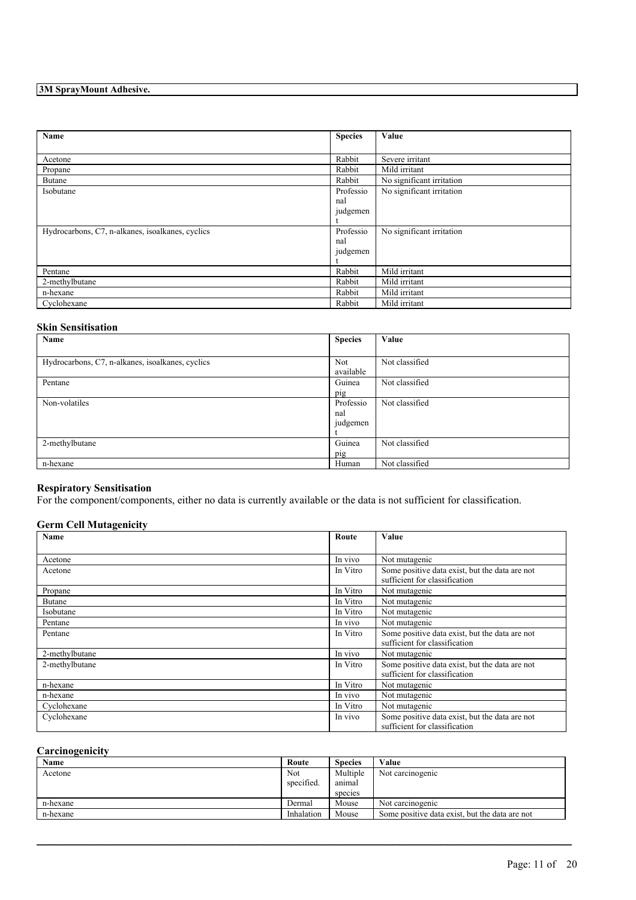| Name                                             | <b>Species</b> | Value                     |
|--------------------------------------------------|----------------|---------------------------|
|                                                  |                |                           |
| Acetone                                          | Rabbit         | Severe irritant           |
| Propane                                          | Rabbit         | Mild irritant             |
| Butane                                           | Rabbit         | No significant irritation |
| Isobutane                                        | Professio      | No significant irritation |
|                                                  | nal            |                           |
|                                                  | judgemen       |                           |
|                                                  |                |                           |
| Hydrocarbons, C7, n-alkanes, isoalkanes, cyclics | Professio      | No significant irritation |
|                                                  | nal            |                           |
|                                                  | judgemen       |                           |
|                                                  |                |                           |
| Pentane                                          | Rabbit         | Mild irritant             |
| 2-methylbutane                                   | Rabbit         | Mild irritant             |
| n-hexane                                         | Rabbit         | Mild irritant             |
| Cyclohexane                                      | Rabbit         | Mild irritant             |

### **Skin Sensitisation**

| Name                                             | <b>Species</b> | Value          |
|--------------------------------------------------|----------------|----------------|
|                                                  |                |                |
| Hydrocarbons, C7, n-alkanes, isoalkanes, cyclics | Not            | Not classified |
|                                                  | available      |                |
| Pentane                                          | Guinea         | Not classified |
|                                                  | pig            |                |
| Non-volatiles                                    | Professio      | Not classified |
|                                                  | nal            |                |
|                                                  | judgemen       |                |
|                                                  |                |                |
| 2-methylbutane                                   | Guinea         | Not classified |
|                                                  | pig            |                |
| n-hexane                                         | Human          | Not classified |

## **Respiratory Sensitisation**

For the component/components, either no data is currently available or the data is not sufficient for classification.

## **Germ Cell Mutagenicity**

| Name           | Route    | Value                                                                           |
|----------------|----------|---------------------------------------------------------------------------------|
|                |          |                                                                                 |
| Acetone        | In vivo  | Not mutagenic                                                                   |
| Acetone        | In Vitro | Some positive data exist, but the data are not<br>sufficient for classification |
| Propane        | In Vitro | Not mutagenic                                                                   |
| Butane         | In Vitro | Not mutagenic                                                                   |
| Isobutane      | In Vitro | Not mutagenic                                                                   |
| Pentane        | In vivo  | Not mutagenic                                                                   |
| Pentane        | In Vitro | Some positive data exist, but the data are not<br>sufficient for classification |
| 2-methylbutane | In vivo  | Not mutagenic                                                                   |
| 2-methylbutane | In Vitro | Some positive data exist, but the data are not<br>sufficient for classification |
| n-hexane       | In Vitro | Not mutagenic                                                                   |
| n-hexane       | In vivo  | Not mutagenic                                                                   |
| Cyclohexane    | In Vitro | Not mutagenic                                                                   |
| Cyclohexane    | In vivo  | Some positive data exist, but the data are not<br>sufficient for classification |

## **Carcinogenicity**

| Name     | Route             | <b>Species</b>     | Value                                          |
|----------|-------------------|--------------------|------------------------------------------------|
| Acetone  | Not<br>specified. | Multiple<br>anımal | Not carcinogenic                               |
|          |                   | species            |                                                |
| n-hexane | Dermal            | Mouse              | Not carcinogenic                               |
| n-hexane | Inhalation        | Mouse              | Some positive data exist, but the data are not |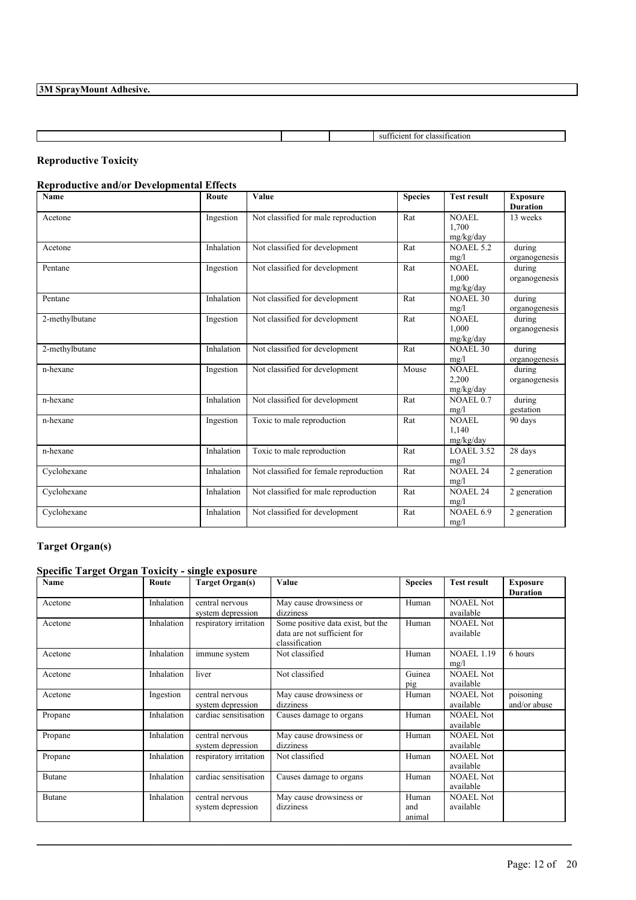|  | su<br>า เ ก เร<br>. ОТ<br>15H<br>. |
|--|------------------------------------|

## **Reproductive Toxicity**

## **Reproductive and/or Developmental Effects**

| <b>Name</b>    | Route      | Value                                  | <b>Species</b> | <b>Test result</b> | <b>Exposure</b> |
|----------------|------------|----------------------------------------|----------------|--------------------|-----------------|
|                |            |                                        |                |                    | <b>Duration</b> |
| Acetone        | Ingestion  | Not classified for male reproduction   | Rat            | NOAEL              | 13 weeks        |
|                |            |                                        |                | 1.700              |                 |
|                |            |                                        |                | mg/kg/day          |                 |
| Acetone        | Inhalation | Not classified for development         | Rat            | <b>NOAEL 5.2</b>   | during          |
|                |            |                                        |                | mg/l               | organogenesis   |
| Pentane        | Ingestion  | Not classified for development         | Rat            | <b>NOAEL</b>       | during          |
|                |            |                                        |                | 1.000              | organogenesis   |
|                |            |                                        |                | mg/kg/day          |                 |
| Pentane        | Inhalation | Not classified for development         | Rat            | NOAEL 30           | during          |
|                |            |                                        |                | mg/l               | organogenesis   |
| 2-methylbutane | Ingestion  | Not classified for development         | Rat            | NOAEL              | during          |
|                |            |                                        |                | 1.000              | organogenesis   |
|                |            |                                        |                | mg/kg/day          |                 |
| 2-methylbutane | Inhalation | Not classified for development         | Rat            | <b>NOAEL 30</b>    | during          |
|                |            |                                        |                | mg/l               | organogenesis   |
| n-hexane       | Ingestion  | Not classified for development         | Mouse          | <b>NOAEL</b>       | during          |
|                |            |                                        |                | 2,200              | organogenesis   |
|                |            |                                        |                | mg/kg/day          |                 |
| n-hexane       | Inhalation | Not classified for development         | Rat            | NOAEL 0.7          | during          |
|                |            |                                        |                | mg/l               | gestation       |
| n-hexane       | Ingestion  | Toxic to male reproduction             | Rat            | NOAEL              | 90 days         |
|                |            |                                        |                | 1.140              |                 |
|                |            |                                        |                | mg/kg/day          |                 |
| n-hexane       | Inhalation | Toxic to male reproduction             | Rat            | LOAEL 3.52         | 28 days         |
|                |            |                                        |                | mg/l               |                 |
| Cyclohexane    | Inhalation | Not classified for female reproduction | Rat            | <b>NOAEL 24</b>    | 2 generation    |
|                |            |                                        |                | mg/l               |                 |
| Cyclohexane    | Inhalation | Not classified for male reproduction   | Rat            | <b>NOAEL 24</b>    | 2 generation    |
|                |            |                                        |                | mg/l               |                 |
| Cyclohexane    | Inhalation | Not classified for development         | Rat            | NOAEL 6.9          | 2 generation    |
|                |            |                                        |                | mg/l               |                 |
|                |            |                                        |                |                    |                 |

## **Target Organ(s)**

## **Specific Target Organ Toxicity - single exposure**

| <b>Name</b>   | Route      | <b>Target Organ(s)</b>               | Value                                                                              | <b>Species</b>         | <b>Test result</b>            | <b>Exposure</b><br><b>Duration</b> |
|---------------|------------|--------------------------------------|------------------------------------------------------------------------------------|------------------------|-------------------------------|------------------------------------|
| Acetone       | Inhalation | central nervous<br>system depression | May cause drowsiness or<br>dizziness                                               | Human                  | <b>NOAEL Not</b><br>available |                                    |
| Acetone       | Inhalation | respiratory irritation               | Some positive data exist, but the<br>data are not sufficient for<br>classification | Human                  | <b>NOAEL Not</b><br>available |                                    |
| Acetone       | Inhalation | immune system                        | Not classified                                                                     | Human                  | <b>NOAEL 1.19</b><br>mg/l     | 6 hours                            |
| Acetone       | Inhalation | liver                                | Not classified                                                                     | Guinea<br>pig          | <b>NOAEL Not</b><br>available |                                    |
| Acetone       | Ingestion  | central nervous<br>system depression | May cause drowsiness or<br>dizziness                                               | Human                  | <b>NOAEL Not</b><br>available | poisoning<br>and/or abuse          |
| Propane       | Inhalation | cardiac sensitisation                | Causes damage to organs                                                            | Human                  | <b>NOAEL Not</b><br>available |                                    |
| Propane       | Inhalation | central nervous<br>system depression | May cause drowsiness or<br>dizziness                                               | Human                  | <b>NOAEL Not</b><br>available |                                    |
| Propane       | Inhalation | respiratory irritation               | Not classified                                                                     | Human                  | <b>NOAEL Not</b><br>available |                                    |
| <b>Butane</b> | Inhalation | cardiac sensitisation                | Causes damage to organs                                                            | Human                  | <b>NOAEL Not</b><br>available |                                    |
| Butane        | Inhalation | central nervous<br>system depression | May cause drowsiness or<br>dizziness                                               | Human<br>and<br>animal | <b>NOAEL Not</b><br>available |                                    |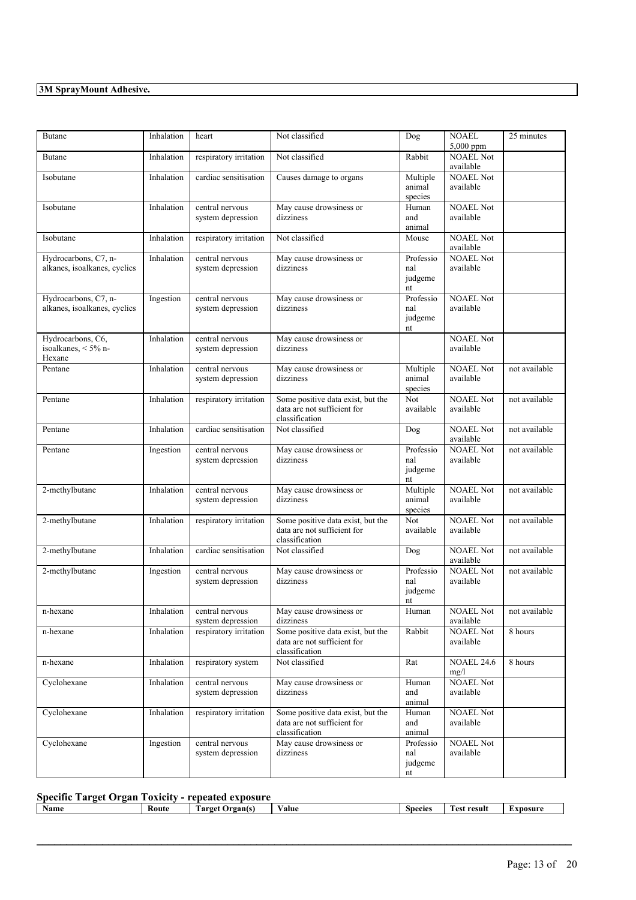| <b>Butane</b>                                        | Inhalation | heart                                | Not classified                                                                     | Dog                               | <b>NOAEL</b><br>5,000 ppm     | 25 minutes    |
|------------------------------------------------------|------------|--------------------------------------|------------------------------------------------------------------------------------|-----------------------------------|-------------------------------|---------------|
| Butane                                               | Inhalation | respiratory irritation               | Not classified                                                                     | Rabbit                            | <b>NOAEL Not</b><br>available |               |
| Isobutane                                            | Inhalation | cardiac sensitisation                | Causes damage to organs                                                            | Multiple<br>animal<br>species     | <b>NOAEL Not</b><br>available |               |
| Isobutane                                            | Inhalation | central nervous<br>system depression | May cause drowsiness or<br>dizziness                                               | Human<br>and<br>animal            | <b>NOAEL Not</b><br>available |               |
| Isobutane                                            | Inhalation | respiratory irritation               | Not classified                                                                     | Mouse                             | <b>NOAEL Not</b><br>available |               |
| Hydrocarbons, C7, n-<br>alkanes, isoalkanes, cyclics | Inhalation | central nervous<br>system depression | May cause drowsiness or<br>dizziness                                               | Professio<br>nal<br>judgeme<br>nt | <b>NOAEL Not</b><br>available |               |
| Hydrocarbons, C7, n-<br>alkanes, isoalkanes, cyclics | Ingestion  | central nervous<br>system depression | May cause drowsiness or<br>dizziness                                               | Professio<br>nal<br>judgeme<br>nt | <b>NOAEL Not</b><br>available |               |
| Hydrocarbons, C6,<br>isoalkanes, < 5% n-<br>Hexane   | Inhalation | central nervous<br>system depression | May cause drowsiness or<br>dizziness                                               |                                   | <b>NOAEL Not</b><br>available |               |
| Pentane                                              | Inhalation | central nervous<br>system depression | May cause drowsiness or<br>dizziness                                               | Multiple<br>animal<br>species     | <b>NOAEL Not</b><br>available | not available |
| Pentane                                              | Inhalation | respiratory irritation               | Some positive data exist, but the<br>data are not sufficient for<br>classification | Not<br>available                  | <b>NOAEL Not</b><br>available | not available |
| Pentane                                              | Inhalation | cardiac sensitisation                | Not classified                                                                     | Dog                               | <b>NOAEL Not</b><br>available | not available |
| Pentane                                              | Ingestion  | central nervous<br>system depression | May cause drowsiness or<br>dizziness                                               | Professio<br>nal<br>judgeme<br>nt | <b>NOAEL Not</b><br>available | not available |
| 2-methylbutane                                       | Inhalation | central nervous<br>system depression | May cause drowsiness or<br>dizziness                                               | Multiple<br>animal<br>species     | <b>NOAEL Not</b><br>available | not available |
| 2-methylbutane                                       | Inhalation | respiratory irritation               | Some positive data exist, but the<br>data are not sufficient for<br>classification | Not<br>available                  | <b>NOAEL Not</b><br>available | not available |
| 2-methylbutane                                       | Inhalation | cardiac sensitisation                | Not classified                                                                     | Dog                               | <b>NOAEL Not</b><br>available | not available |
| 2-methylbutane                                       | Ingestion  | central nervous<br>system depression | May cause drowsiness or<br>dizziness                                               | Professio<br>nal<br>judgeme<br>nt | <b>NOAEL Not</b><br>available | not available |
| n-hexane                                             | Inhalation | central nervous<br>system depression | May cause drowsiness or<br>dizziness                                               | Human                             | <b>NOAEL Not</b><br>available | not available |
| n-hexane                                             | Inhalation | respiratory irritation               | Some positive data exist, but the<br>data are not sufficient for<br>classification | Rabbit                            | <b>NOAEL Not</b><br>available | 8 hours       |
| n-hexane                                             | Inhalation | respiratory system                   | Not classified                                                                     | $\overline{Rat}$                  | <b>NOAEL 24.6</b><br>mg/l     | 8 hours       |
| Cyclohexane                                          | Inhalation | central nervous<br>system depression | May cause drowsiness or<br>dizziness                                               | Human<br>and<br>animal            | <b>NOAEL Not</b><br>available |               |
| Cyclohexane                                          | Inhalation | respiratory irritation               | Some positive data exist, but the<br>data are not sufficient for<br>classification | Human<br>and<br>animal            | <b>NOAEL Not</b><br>available |               |
| Cyclohexane                                          | Ingestion  | central nervous<br>system depression | May cause drowsiness or<br>dizziness                                               | Professio<br>nal<br>judgeme<br>nt | <b>NOAEL Not</b><br>available |               |

## **Specific Target Organ Toxicity - repeated exposure**

| Name |  | Koute | Jrgan(s)<br>'arget<br>. а. | 'alue | Species | -<br>: result<br>. ACT | xnosur |
|------|--|-------|----------------------------|-------|---------|------------------------|--------|
|      |  |       |                            |       |         |                        |        |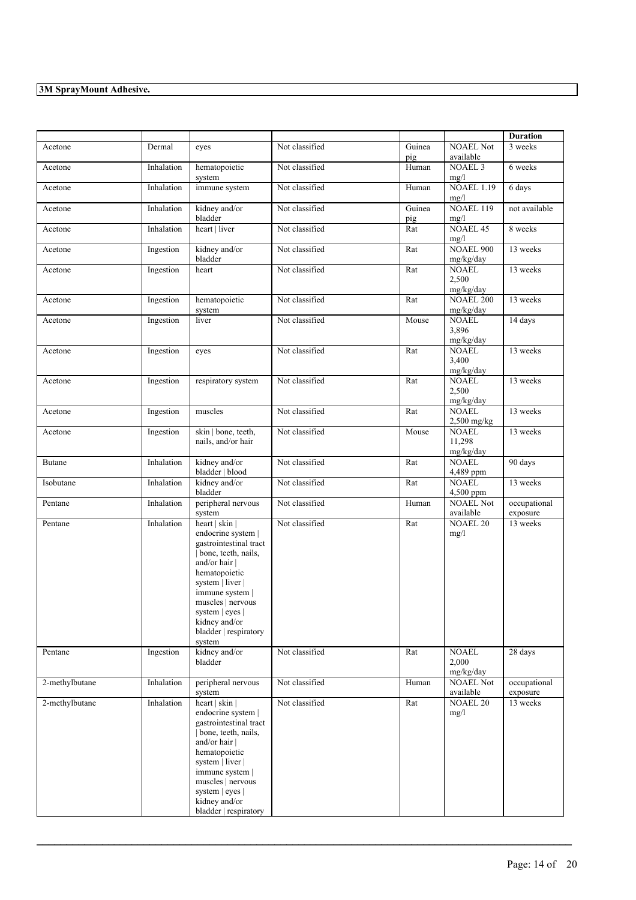|                |                                                |                                                                                                                                                                                                                                                            |                |                  |                                     | <b>Duration</b>          |
|----------------|------------------------------------------------|------------------------------------------------------------------------------------------------------------------------------------------------------------------------------------------------------------------------------------------------------------|----------------|------------------|-------------------------------------|--------------------------|
| Acetone        | Dermal                                         | eyes                                                                                                                                                                                                                                                       | Not classified | Guinea<br>pig    | <b>NOAEL Not</b><br>available       | 3 weeks                  |
| Acetone        | Inhalation                                     | hematopoietic<br>system                                                                                                                                                                                                                                    | Not classified | Human            | <b>NOAEL 3</b><br>mg/l              | 6 weeks                  |
| Acetone        | Inhalation                                     | immune system                                                                                                                                                                                                                                              | Not classified | Human            | <b>NOAEL 1.19</b><br>mg/l           | 6 days                   |
| Acetone        | Inhalation                                     | kidney and/or<br>bladder                                                                                                                                                                                                                                   | Not classified | Guinea<br>pig    | <b>NOAEL 119</b><br>mg/l            | not available            |
| Acetone        | Inhalation                                     | heart   liver                                                                                                                                                                                                                                              | Not classified | Rat              | <b>NOAEL 45</b><br>mg/l             | 8 weeks                  |
| Acetone        | Ingestion                                      | kidney and/or<br>bladder                                                                                                                                                                                                                                   | Not classified | Rat              | <b>NOAEL 900</b><br>mg/kg/day       | 13 weeks                 |
| Acetone        | Ingestion                                      | heart                                                                                                                                                                                                                                                      | Not classified | Rat              | <b>NOAEL</b><br>2,500<br>mg/kg/day  | 13 weeks                 |
| Acetone        | Ingestion                                      | hematopoietic<br>system                                                                                                                                                                                                                                    | Not classified | Rat              | <b>NOAEL 200</b><br>mg/kg/day       | 13 weeks                 |
| Acetone        | Ingestion                                      | liver                                                                                                                                                                                                                                                      | Not classified | Mouse            | <b>NOAEL</b><br>3,896<br>mg/kg/day  | 14 days                  |
| Acetone        | Ingestion                                      | eyes                                                                                                                                                                                                                                                       | Not classified | Rat              | <b>NOAEL</b><br>3,400<br>mg/kg/day  | 13 weeks                 |
| Acetone        | Ingestion                                      | respiratory system                                                                                                                                                                                                                                         | Not classified | Rat              | <b>NOAEL</b><br>2,500<br>mg/kg/day  | 13 weeks                 |
| Acetone        | Ingestion                                      | muscles                                                                                                                                                                                                                                                    | Not classified | Rat              | <b>NOAEL</b><br>2,500 mg/kg         | 13 weeks                 |
| Acetone        | Ingestion                                      | skin   bone, teeth,<br>nails, and/or hair                                                                                                                                                                                                                  | Not classified | Mouse            | <b>NOAEL</b><br>11,298<br>mg/kg/day | 13 weeks                 |
| Butane         | kidney and/or<br>Inhalation<br>bladder   blood |                                                                                                                                                                                                                                                            | Not classified | Rat              | <b>NOAEL</b><br>4,489 ppm           | 90 days                  |
| Isobutane      | Inhalation                                     | kidney and/or<br>bladder                                                                                                                                                                                                                                   | Not classified | Rat              | <b>NOAEL</b><br>4,500 ppm           | 13 weeks                 |
| Pentane        | Inhalation                                     | peripheral nervous<br>system                                                                                                                                                                                                                               | Not classified | Human            | <b>NOAEL Not</b><br>available       | occupational<br>exposure |
| Pentane        | Inhalation                                     | heart   skin  <br>endocrine system  <br>gastrointestinal tract<br>bone, teeth, nails,<br>and/or hair  <br>hematopoietic<br>system   liver  <br>immune system  <br>muscles   nervous<br>system   eyes  <br>kidney and/or<br>bladder   respiratory<br>system | Not classified | Rat              | <b>NOAEL 20</b><br>mg/l             | 13 weeks                 |
| Pentane        | Ingestion                                      | kidney and/or<br>bladder                                                                                                                                                                                                                                   | Not classified | Rat              | <b>NOAEL</b><br>2,000<br>mg/kg/day  | 28 days                  |
| 2-methylbutane | Inhalation                                     | peripheral nervous<br>system                                                                                                                                                                                                                               | Not classified | Human            | <b>NOAEL Not</b><br>available       | occupational<br>exposure |
| 2-methylbutane | Inhalation                                     | heart   skin  <br>endocrine system  <br>gastrointestinal tract<br>bone, teeth, nails,<br>and/or hair  <br>hematopoietic<br>system   liver  <br>immune system  <br>muscles   nervous<br>system   eyes  <br>kidney and/or<br>bladder   respiratory           | Not classified | $\overline{Rat}$ | <b>NOAEL 20</b><br>mg/l             | 13 weeks                 |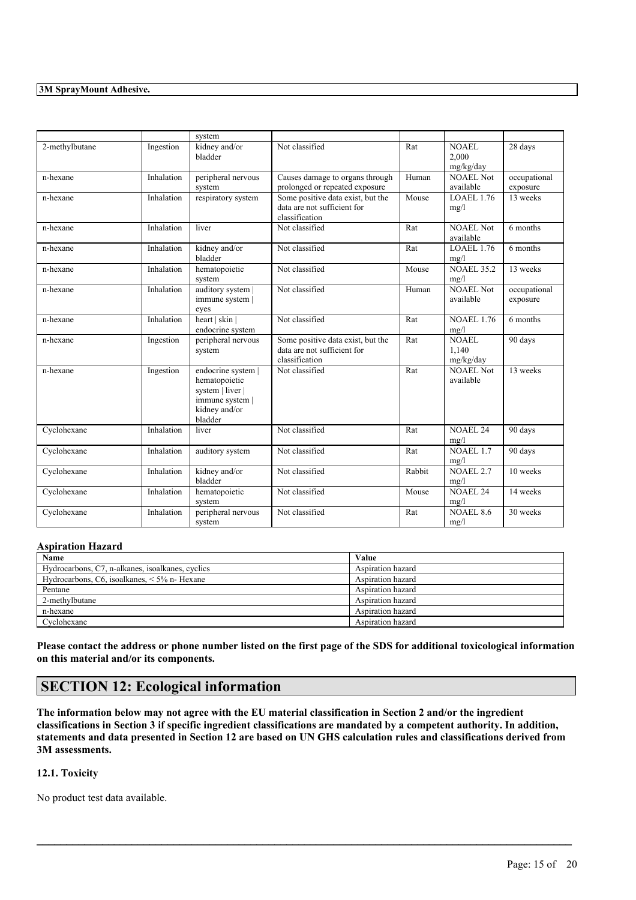|                |            | system                                                                                                 |                                                                                    |        |                               |                          |
|----------------|------------|--------------------------------------------------------------------------------------------------------|------------------------------------------------------------------------------------|--------|-------------------------------|--------------------------|
| 2-methylbutane | Ingestion  | kidney and/or<br>bladder                                                                               | Not classified                                                                     | Rat    | NOAEL<br>2.000<br>mg/kg/day   | 28 days                  |
| n-hexane       | Inhalation | peripheral nervous<br>system                                                                           | Causes damage to organs through<br>prolonged or repeated exposure                  | Human  | <b>NOAEL Not</b><br>available | occupational<br>exposure |
| n-hexane       | Inhalation | respiratory system                                                                                     | Some positive data exist, but the<br>data are not sufficient for<br>classification | Mouse  | <b>LOAEL 1.76</b><br>mg/l     | 13 weeks                 |
| n-hexane       | Inhalation | liver                                                                                                  | Not classified                                                                     | Rat    | <b>NOAEL Not</b><br>available | 6 months                 |
| n-hexane       | Inhalation | kidney and/or<br>bladder                                                                               | Not classified                                                                     | Rat    | $LOAEL$ 1.76<br>mg/l          | 6 months                 |
| n-hexane       | Inhalation | hematopoietic<br>system                                                                                | Not classified                                                                     | Mouse  | <b>NOAEL 35.2</b><br>mg/l     | 13 weeks                 |
| n-hexane       | Inhalation | auditory system  <br>immune system  <br>eyes                                                           | Not classified                                                                     | Human  | <b>NOAEL Not</b><br>available | occupational<br>exposure |
| n-hexane       | Inhalation | heart   skin  <br>endocrine system                                                                     | Not classified                                                                     | Rat    | <b>NOAEL 1.76</b><br>mg/l     | 6 months                 |
| n-hexane       | Ingestion  | peripheral nervous<br>system                                                                           | Some positive data exist, but the<br>data are not sufficient for<br>classification | Rat    | NOAEL<br>1.140<br>mg/kg/day   | 90 days                  |
| n-hexane       | Ingestion  | endocrine system  <br>hematopoietic<br>system   liver  <br>immune system  <br>kidney and/or<br>bladder | Not classified                                                                     | Rat    | <b>NOAEL Not</b><br>available | 13 weeks                 |
| Cyclohexane    | Inhalation | liver                                                                                                  | Not classified                                                                     | Rat    | <b>NOAEL 24</b><br>mg/l       | 90 days                  |
| Cyclohexane    | Inhalation | auditory system                                                                                        | Not classified                                                                     | Rat    | <b>NOAEL 1.7</b><br>mg/l      | 90 days                  |
| Cyclohexane    | Inhalation | kidney and/or<br>bladder                                                                               | Not classified                                                                     | Rabbit | <b>NOAEL 2.7</b><br>mg/l      | 10 weeks                 |
| Cyclohexane    | Inhalation | hematopoietic<br>system                                                                                | Not classified                                                                     | Mouse  | <b>NOAEL 24</b><br>mg/l       | 14 weeks                 |
| Cyclohexane    | Inhalation | peripheral nervous<br>system                                                                           | Not classified                                                                     | Rat    | <b>NOAEL 8.6</b><br>mg/l      | 30 weeks                 |

### **Aspiration Hazard**

| <b>Name</b>                                          | Value             |
|------------------------------------------------------|-------------------|
| Hydrocarbons, C7, n-alkanes, isoalkanes, cyclics     | Aspiration hazard |
| Hydrocarbons, $C6$ , isoalkanes, $\leq 5\%$ n-Hexane | Aspiration hazard |
| Pentane                                              | Aspiration hazard |
| 2-methylbutane                                       | Aspiration hazard |
| n-hexane                                             | Aspiration hazard |
| Cyclohexane                                          | Aspiration hazard |

Please contact the address or phone number listed on the first page of the SDS for additional toxicological information **on this material and/or its components.**

## **SECTION 12: Ecological information**

The information below may not agree with the EU material classification in Section 2 and/or the ingredient classifications in Section 3 if specific ingredient classifications are mandated by a competent authority. In addition, statements and data presented in Section 12 are based on UN GHS calculation rules and classifications derived from **3M assessments.**

 $\mathcal{L}_\mathcal{L} = \mathcal{L}_\mathcal{L} = \mathcal{L}_\mathcal{L} = \mathcal{L}_\mathcal{L} = \mathcal{L}_\mathcal{L} = \mathcal{L}_\mathcal{L} = \mathcal{L}_\mathcal{L} = \mathcal{L}_\mathcal{L} = \mathcal{L}_\mathcal{L} = \mathcal{L}_\mathcal{L} = \mathcal{L}_\mathcal{L} = \mathcal{L}_\mathcal{L} = \mathcal{L}_\mathcal{L} = \mathcal{L}_\mathcal{L} = \mathcal{L}_\mathcal{L} = \mathcal{L}_\mathcal{L} = \mathcal{L}_\mathcal{L}$ 

### **12.1. Toxicity**

No product test data available.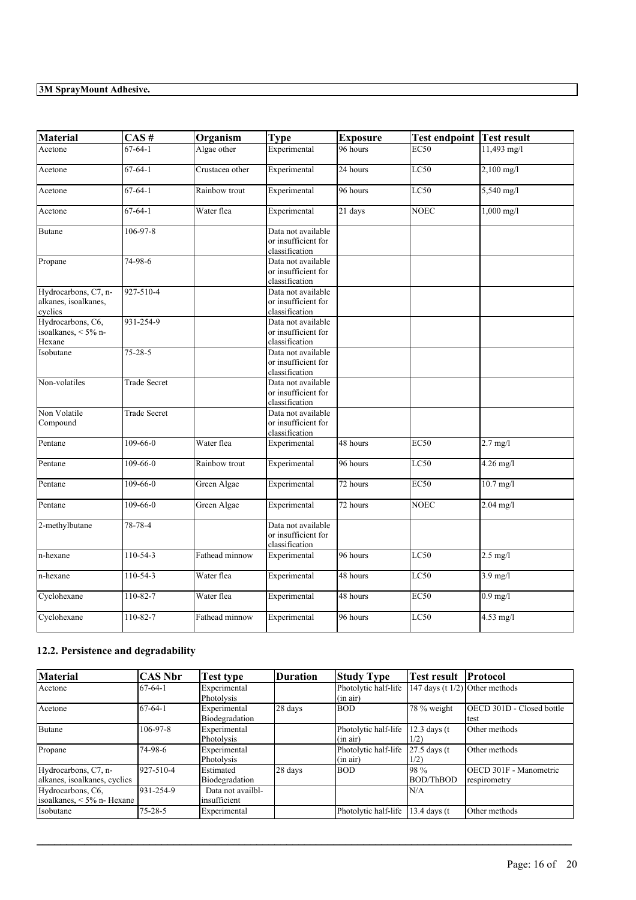| <b>Material</b>                                         | CAS#                | Organism        | <b>Type</b>                                                 | <b>Exposure</b> | <b>Test endpoint</b> | Test result          |
|---------------------------------------------------------|---------------------|-----------------|-------------------------------------------------------------|-----------------|----------------------|----------------------|
| Acetone                                                 | $67 - 64 - 1$       | Algae other     | Experimental                                                | 96 hours        | EC50                 | $11,493$ mg/l        |
| Acetone                                                 | $67 - 64 - 1$       | Crustacea other | Experimental                                                | 24 hours        | LC50                 | $2,100$ mg/l         |
| Acetone                                                 | $67 - 64 - 1$       | Rainbow trout   | Experimental                                                | 96 hours        | LC50                 | 5,540 mg/l           |
| Acetone                                                 | $67 - 64 - 1$       | Water flea      | Experimental                                                | $21$ days       | <b>NOEC</b>          | $1,000 \text{ mg/l}$ |
| <b>Butane</b>                                           | $106 - 97 - 8$      |                 | Data not available<br>or insufficient for<br>classification |                 |                      |                      |
| Propane                                                 | 74-98-6             |                 | Data not available<br>or insufficient for<br>classification |                 |                      |                      |
| Hydrocarbons, C7, n-<br>alkanes, isoalkanes,<br>cyclics | 927-510-4           |                 | Data not available<br>or insufficient for<br>classification |                 |                      |                      |
| Hydrocarbons, C6,<br>isoalkanes, < 5% n-<br>Hexane      | 931-254-9           |                 | Data not available<br>or insufficient for<br>classification |                 |                      |                      |
| Isobutane                                               | $75 - 28 - 5$       |                 | Data not available<br>or insufficient for<br>classification |                 |                      |                      |
| Non-volatiles                                           | <b>Trade Secret</b> |                 | Data not available<br>or insufficient for<br>classification |                 |                      |                      |
| Non Volatile<br>Compound                                | <b>Trade Secret</b> |                 | Data not available<br>or insufficient for<br>classification |                 |                      |                      |
| Pentane                                                 | $109 - 66 - 0$      | Water flea      | Experimental                                                | 48 hours        | EC50                 | $2.7$ mg/l           |
| Pentane                                                 | $109 - 66 - 0$      | Rainbow trout   | Experimental                                                | 96 hours        | <b>LC50</b>          | 4.26 mg/l            |
| Pentane                                                 | $109 - 66 - 0$      | Green Algae     | Experimental                                                | 72 hours        | EC50                 | $10.7$ mg/l          |
| Pentane                                                 | 109-66-0            | Green Algae     | Experimental                                                | 72 hours        | <b>NOEC</b>          | $2.04$ mg/l          |
| 2-methylbutane                                          | 78-78-4             |                 | Data not available<br>or insufficient for<br>classification |                 |                      |                      |
| n-hexane                                                | 110-54-3            | Fathead minnow  | Experimental                                                | 96 hours        | LC50                 | $2.5$ mg/l           |
| n-hexane                                                | $110-54-3$          | Water flea      | Experimental                                                | 48 hours        | LC50                 | $3.9$ mg/l           |
| Cyclohexane                                             | $110 - 82 - 7$      | Water flea      | Experimental                                                | 48 hours        | EC50                 | $0.9$ mg/l           |
| Cyclohexane                                             | 110-82-7            | Fathead minnow  | Experimental                                                | 96 hours        | LC50                 | 4.53 mg/l            |

## **12.2. Persistence and degradability**

| Material                                             | <b>CAS Nbr</b> | Test type                          | <b>Duration</b> | <b>Study Type</b>                | <b>Test result</b>                | Protocol                               |
|------------------------------------------------------|----------------|------------------------------------|-----------------|----------------------------------|-----------------------------------|----------------------------------------|
| Acetone                                              | $67-64-1$      | Experimental<br>Photolysis         |                 | Photolytic half-life<br>(in air) | 147 days (t $1/2$ ) Other methods |                                        |
| Acetone                                              | $67-64-1$      | Experimental<br>Biodegradation     | 28 days         | <b>BOD</b>                       | 78 % weight                       | OECD 301D - Closed bottle<br>test      |
| <b>Butane</b>                                        | $106 - 97 - 8$ | Experimental<br>Photolysis         |                 | Photolytic half-life<br>(in air) | $12.3$ days (t)<br>1/2)           | Other methods                          |
| Propane                                              | 74-98-6        | Experimental<br>Photolysis         |                 | Photolytic half-life<br>(in air) | 27.5 days (t)<br>1/2)             | Other methods                          |
| Hydrocarbons, C7, n-<br>alkanes, isoalkanes, cyclics | 927-510-4      | Estimated<br>Biodegradation        | 28 days         | <b>BOD</b>                       | 198 %<br>BOD/ThBOD                | OECD 301F - Manometric<br>respirometry |
| Hydrocarbons, C6,<br>isoalkanes, $\leq 5\%$ n-Hexane | 931-254-9      | Data not availbl-<br>linsufficient |                 |                                  | N/A                               |                                        |
| Isobutane                                            | $75 - 28 - 5$  | Experimental                       |                 | Photolytic half-life             | $13.4$ days (t)                   | Other methods                          |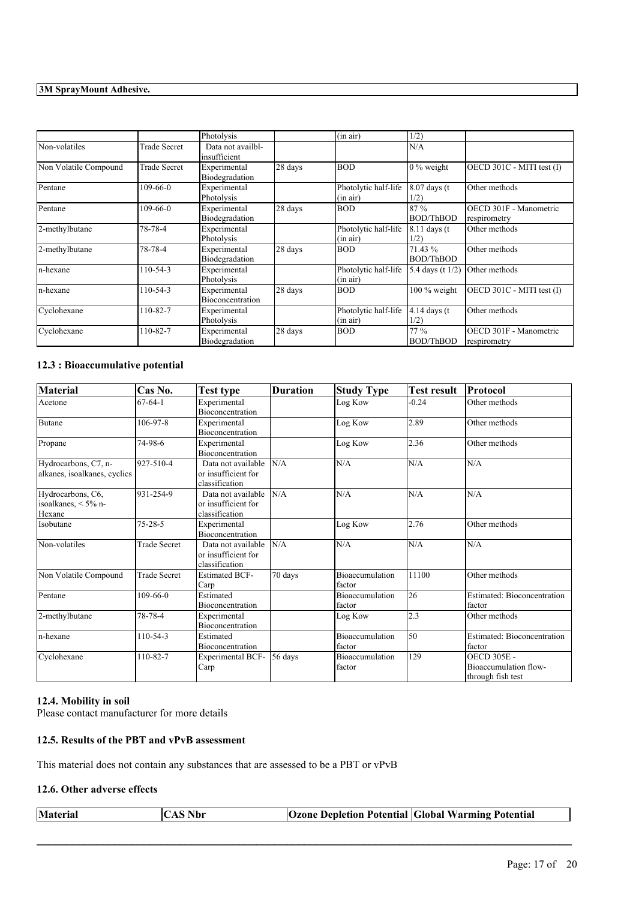|                       |                     | Photolysis                        |         | (in air)                         | 1/2)                    |                                        |
|-----------------------|---------------------|-----------------------------------|---------|----------------------------------|-------------------------|----------------------------------------|
| Non-volatiles         | <b>Trade Secret</b> | Data not availbl-<br>insufficient |         |                                  | N/A                     |                                        |
| Non Volatile Compound | Trade Secret        | Experimental<br>Biodegradation    | 28 days | <b>BOD</b>                       | $0\%$ weight            | OECD 301C - MITI test (I)              |
| Pentane               | $109 - 66 - 0$      | Experimental<br>Photolysis        |         | Photolytic half-life<br>(in air) | $8.07$ days (t)<br>1/2) | Other methods                          |
| Pentane               | $109-66-0$          | Experimental<br>Biodegradation    | 28 days | <b>BOD</b>                       | 87%<br><b>BOD/ThBOD</b> | OECD 301F - Manometric<br>respirometry |
| 2-methylbutane        | 78-78-4             | Experimental<br>Photolysis        |         | Photolytic half-life<br>(in air) | $8.11$ days (t)<br>1/2) | Other methods                          |
| 2-methylbutane        | 78-78-4             | Experimental<br>Biodegradation    | 28 days | <b>BOD</b>                       | 71.43 %<br>BOD/ThBOD    | Other methods                          |
| n-hexane              | 110-54-3            | Experimental<br>Photolysis        |         | Photolytic half-life<br>(in air) | 5.4 days (t $1/2$ )     | Other methods                          |
| n-hexane              | 110-54-3            | Experimental<br>Bioconcentration  | 28 days | <b>BOD</b>                       | $100\%$ weight          | OECD 301C - MITI test (I)              |
| Cyclohexane           | 110-82-7            | Experimental<br>Photolysis        |         | Photolytic half-life<br>(in air) | $4.14$ days (t)<br>1/2) | Other methods                          |
| Cyclohexane           | 110-82-7            | Experimental<br>Biodegradation    | 28 days | <b>BOD</b>                       | 77%<br><b>BOD/ThBOD</b> | OECD 301F - Manometric<br>respirometry |

### **12.3 : Bioaccumulative potential**

| <b>Material</b>                                      | Cas No.             | Test type                                                   | <b>Duration</b> | <b>Study Type</b>                | <b>Test result</b> | Protocol                                                         |
|------------------------------------------------------|---------------------|-------------------------------------------------------------|-----------------|----------------------------------|--------------------|------------------------------------------------------------------|
| Acetone                                              | $67 - 64 - 1$       | Experimental<br>Bioconcentration                            |                 | Log Kow                          | $-0.24$            | Other methods                                                    |
| <b>Butane</b>                                        | 106-97-8            | Experimental<br><b>Bioconcentration</b>                     |                 | Log Kow                          | 2.89               | Other methods                                                    |
| Propane                                              | 74-98-6             | Experimental<br>Bioconcentration                            |                 | Log Kow                          | 2.36               | Other methods                                                    |
| Hydrocarbons, C7, n-<br>alkanes, isoalkanes, cyclics | 927-510-4           | Data not available<br>or insufficient for<br>classification | N/A             | N/A                              | N/A                | N/A                                                              |
| Hydrocarbons, C6,<br>isoalkanes, < 5% n-<br>Hexane   | 931-254-9           | Data not available<br>or insufficient for<br>classification | N/A             | N/A                              | N/A                | N/A                                                              |
| Isobutane                                            | $75 - 28 - 5$       | Experimental<br>Bioconcentration                            |                 | Log Kow                          | 2.76               | Other methods                                                    |
| Non-volatiles                                        | <b>Trade Secret</b> | Data not available<br>or insufficient for<br>classification | N/A             | N/A                              | N/A                | N/A                                                              |
| Non Volatile Compound                                | <b>Trade Secret</b> | <b>Estimated BCF-</b><br>Carp                               | 70 days         | Bioaccumulation<br>factor        | 11100              | Other methods                                                    |
| Pentane                                              | $109 - 66 - 0$      | Estimated<br>Bioconcentration                               |                 | Bioaccumulation<br>factor        | 26                 | <b>Estimated: Bioconcentration</b><br>factor                     |
| 2-methylbutane                                       | 78-78-4             | Experimental<br>Bioconcentration                            |                 | Log Kow                          | 2.3                | Other methods                                                    |
| n-hexane                                             | 110-54-3            | Estimated<br>Bioconcentration                               |                 | <b>Bioaccumulation</b><br>factor | 50                 | <b>Estimated: Bioconcentration</b><br>factor                     |
| Cyclohexane                                          | 110-82-7            | <b>Experimental BCF-</b><br>Carp                            | 56 days         | <b>Bioaccumulation</b><br>factor | 129                | <b>OECD 305E -</b><br>Bioaccumulation flow-<br>through fish test |

## **12.4. Mobility in soil**

Please contact manufacturer for more details

### **12.5. Results of the PBT and vPvB assessment**

This material does not contain any substances that are assessed to be a PBT or vPvB

### **12.6. Other adverse effects**

|  | <b>Material</b><br>'AS Nbr<br>AA | <b>Ozone Depletion Potential Global Warming Potential</b> |  |
|--|----------------------------------|-----------------------------------------------------------|--|
|--|----------------------------------|-----------------------------------------------------------|--|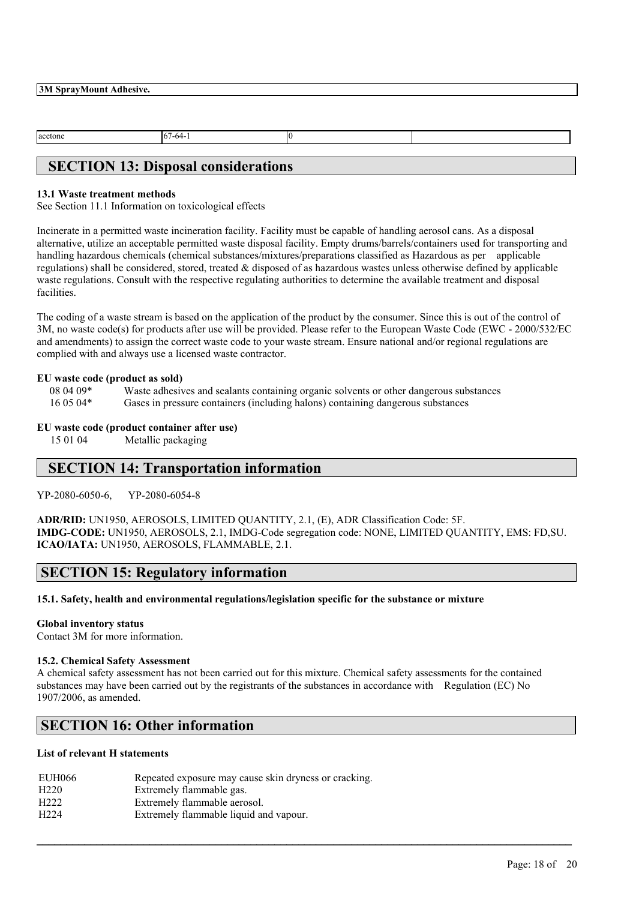$\sqrt{67-64-1}$  0

## **SECTION 13: Disposal considerations**

### **13.1 Waste treatment methods**

See Section 11.1 Information on toxicological effects

Incinerate in a permitted waste incineration facility. Facility must be capable of handling aerosol cans. As a disposal alternative, utilize an acceptable permitted waste disposal facility. Empty drums/barrels/containers used for transporting and handling hazardous chemicals (chemical substances/mixtures/preparations classified as Hazardous as per applicable regulations) shall be considered, stored, treated & disposed of as hazardous wastes unless otherwise defined by applicable waste regulations. Consult with the respective regulating authorities to determine the available treatment and disposal facilities.

The coding of a waste stream is based on the application of the product by the consumer. Since this is out of the control of 3M, no waste code(s) for products after use will be provided. Please refer to the European Waste Code (EWC - 2000/532/EC and amendments) to assign the correct waste code to your waste stream. Ensure national and/or regional regulations are complied with and always use a licensed waste contractor.

### **EU waste code (product as sold)**

08 04 09\* Waste adhesives and sealants containing organic solvents or other dangerous substances

16 05 04\* Gases in pressure containers (including halons) containing dangerous substances

### **EU waste code (product container after use)**

15 01 04 Metallic packaging

## **SECTION 14: Transportation information**

YP-2080-6050-6, YP-2080-6054-8

**ADR/RID:** UN1950, AEROSOLS, LIMITED QUANTITY, 2.1, (E), ADR Classification Code: 5F. **IMDG-CODE:** UN1950, AEROSOLS, 2.1, IMDG-Code segregation code: NONE, LIMITED QUANTITY, EMS: FD,SU. **ICAO/IATA:** UN1950, AEROSOLS, FLAMMABLE, 2.1.

## **SECTION 15: Regulatory information**

**15.1. Safety, health and environmental regulations/legislation specific for the substance or mixture**

### **Global inventory status**

Contact 3M for more information.

### **15.2. Chemical Safety Assessment**

A chemical safety assessment has not been carried out for this mixture. Chemical safety assessments for the contained substances may have been carried out by the registrants of the substances in accordance with Regulation (EC) No 1907/2006, as amended.

 $\mathcal{L}_\mathcal{L} = \mathcal{L}_\mathcal{L} = \mathcal{L}_\mathcal{L} = \mathcal{L}_\mathcal{L} = \mathcal{L}_\mathcal{L} = \mathcal{L}_\mathcal{L} = \mathcal{L}_\mathcal{L} = \mathcal{L}_\mathcal{L} = \mathcal{L}_\mathcal{L} = \mathcal{L}_\mathcal{L} = \mathcal{L}_\mathcal{L} = \mathcal{L}_\mathcal{L} = \mathcal{L}_\mathcal{L} = \mathcal{L}_\mathcal{L} = \mathcal{L}_\mathcal{L} = \mathcal{L}_\mathcal{L} = \mathcal{L}_\mathcal{L}$ 

## **SECTION 16: Other information**

### **List of relevant H statements**

| EUH066           | Repeated exposure may cause skin dryness or cracking. |
|------------------|-------------------------------------------------------|
| H <sub>220</sub> | Extremely flammable gas.                              |
| H <sub>222</sub> | Extremely flammable aerosol.                          |
| H <sub>224</sub> | Extremely flammable liquid and vapour.                |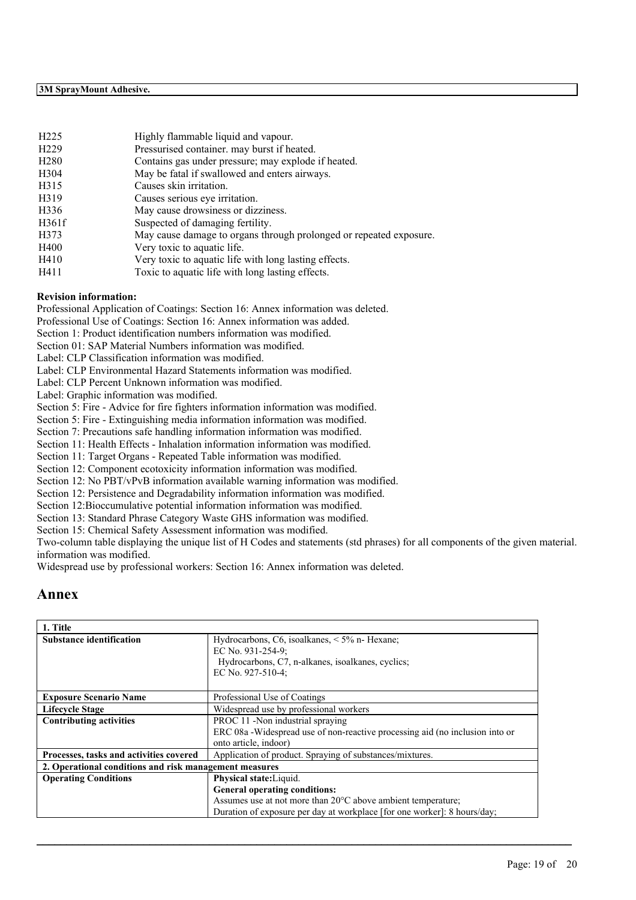| H <sub>225</sub> | Highly flammable liquid and vapour.                                |
|------------------|--------------------------------------------------------------------|
| H <sub>229</sub> | Pressurised container, may burst if heated.                        |
| H280             | Contains gas under pressure; may explode if heated.                |
| H304             | May be fatal if swallowed and enters airways.                      |
| H315             | Causes skin irritation.                                            |
| H319             | Causes serious eye irritation.                                     |
| H336             | May cause drowsiness or dizziness.                                 |
| H361f            | Suspected of damaging fertility.                                   |
| H373             | May cause damage to organs through prolonged or repeated exposure. |
| H400             | Very toxic to aquatic life.                                        |
| H410             | Very toxic to aquatic life with long lasting effects.              |
| H411             | Toxic to aquatic life with long lasting effects.                   |

### **Revision information:**

Professional Application of Coatings: Section 16: Annex information was deleted.

Professional Use of Coatings: Section 16: Annex information was added.

Section 1: Product identification numbers information was modified.

Section 01: SAP Material Numbers information was modified.

Label: CLP Classification information was modified.

Label: CLP Environmental Hazard Statements information was modified.

Label: CLP Percent Unknown information was modified.

Label: Graphic information was modified.

Section 5: Fire - Advice for fire fighters information information was modified.

Section 5: Fire - Extinguishing media information information was modified.

Section 7: Precautions safe handling information information was modified.

Section 11: Health Effects - Inhalation information information was modified.

Section 11: Target Organs - Repeated Table information was modified.

Section 12: Component ecotoxicity information information was modified.

Section 12: No PBT/vPvB information available warning information was modified.

Section 12: Persistence and Degradability information information was modified.

Section 12:Bioccumulative potential information information was modified.

Section 13: Standard Phrase Category Waste GHS information was modified.

Section 15: Chemical Safety Assessment information was modified.

Two-column table displaying the unique list of H Codes and statements (std phrases) for all components of the given material. information was modified.

Widespread use by professional workers: Section 16: Annex information was deleted.

## **Annex**

| Hydrocarbons, C6, isoalkanes, $\leq 5\%$ n- Hexane;                           |
|-------------------------------------------------------------------------------|
| EC No. 931-254-9;                                                             |
| Hydrocarbons, C7, n-alkanes, isoalkanes, cyclics;                             |
| EC No. 927-510-4;                                                             |
|                                                                               |
| Professional Use of Coatings                                                  |
| Widespread use by professional workers                                        |
| PROC 11 -Non industrial spraying                                              |
| ERC 08a - Widespread use of non-reactive processing aid (no inclusion into or |
| onto article, indoor)                                                         |
| Application of product. Spraying of substances/mixtures.                      |
| 2. Operational conditions and risk management measures                        |
| Physical state: Liquid.                                                       |
| General operating conditions:                                                 |
| Assumes use at not more than 20°C above ambient temperature;                  |
| Duration of exposure per day at workplace [for one worker]: 8 hours/day;      |
|                                                                               |